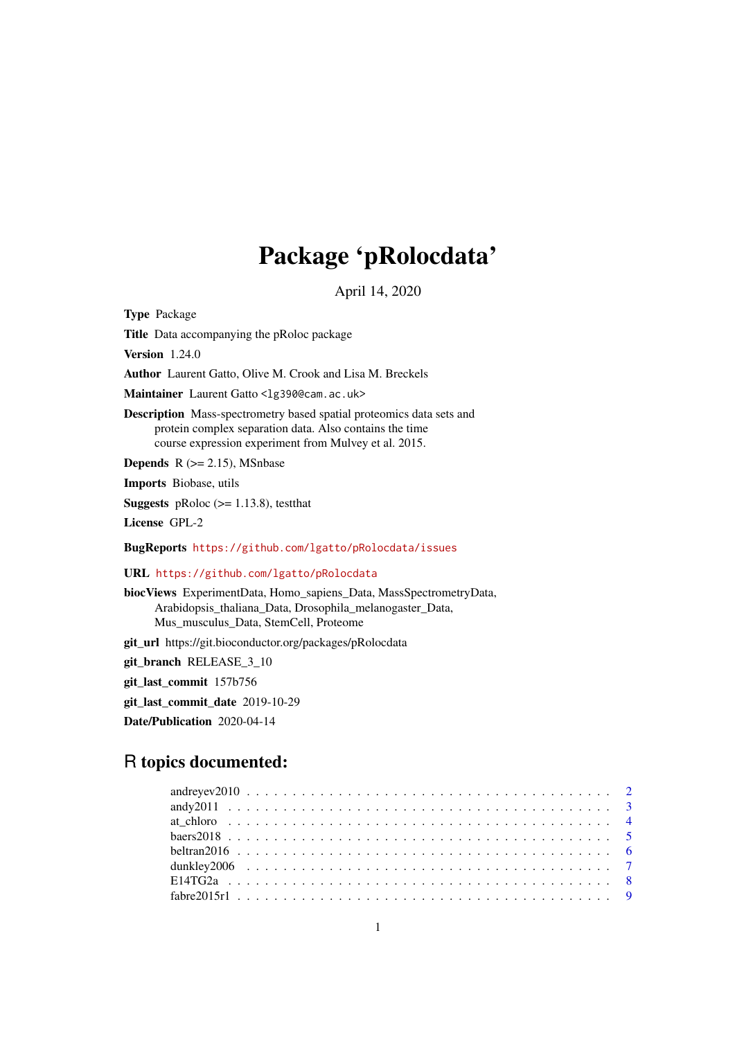## Package 'pRolocdata'

April 14, 2020

<span id="page-0-0"></span>Type Package

Title Data accompanying the pRoloc package

Version 1.24.0

Author Laurent Gatto, Olive M. Crook and Lisa M. Breckels

Maintainer Laurent Gatto <lg390@cam.ac.uk>

Description Mass-spectrometry based spatial proteomics data sets and protein complex separation data. Also contains the time course expression experiment from Mulvey et al. 2015.

**Depends** R  $(>= 2.15)$ , MSnbase

Imports Biobase, utils

**Suggests** pRoloc  $(>= 1.13.8)$ , testthat

License GPL-2

BugReports <https://github.com/lgatto/pRolocdata/issues>

URL <https://github.com/lgatto/pRolocdata>

biocViews ExperimentData, Homo\_sapiens\_Data, MassSpectrometryData, Arabidopsis\_thaliana\_Data, Drosophila\_melanogaster\_Data, Mus\_musculus\_Data, StemCell, Proteome

git\_url https://git.bioconductor.org/packages/pRolocdata

git\_branch RELEASE\_3\_10

git\_last\_commit 157b756

git\_last\_commit\_date 2019-10-29

Date/Publication 2020-04-14

## R topics documented:

| $fabre2015r1             9$ |  |
|-----------------------------|--|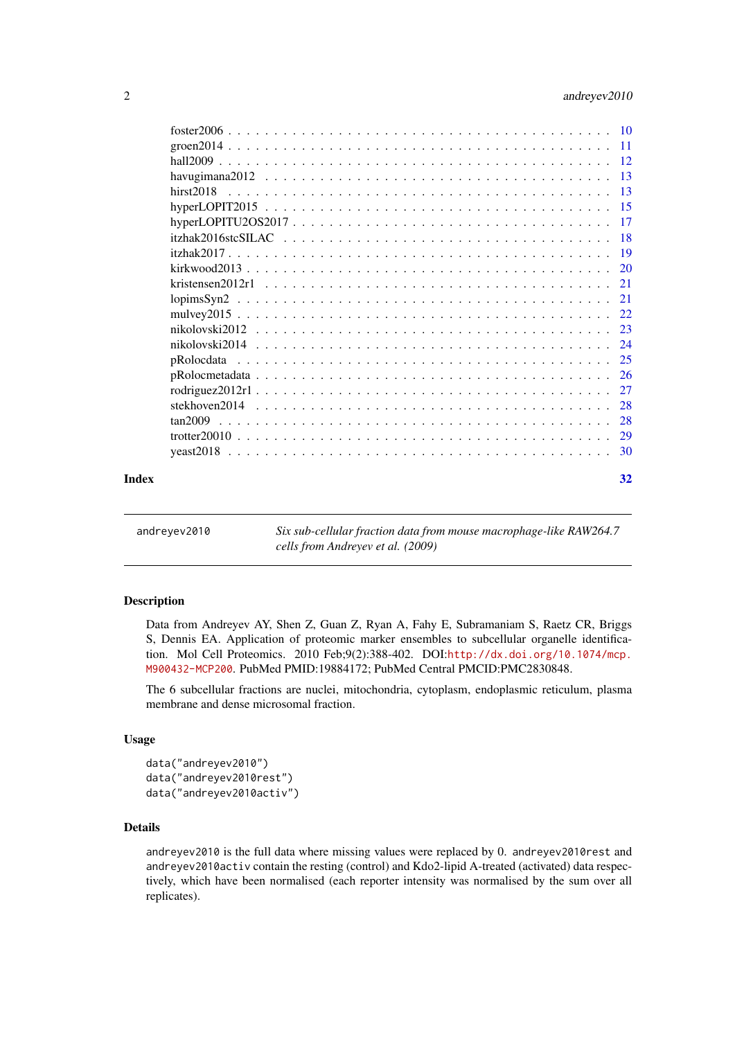<span id="page-1-0"></span>

|  |  |  |  |  |  |  |  |  |  |  |  |  |  | 32               |
|--|--|--|--|--|--|--|--|--|--|--|--|--|--|------------------|
|  |  |  |  |  |  |  |  |  |  |  |  |  |  | mulvey $2015$ 22 |

andreyev2010 *Six sub-cellular fraction data from mouse macrophage-like RAW264.7 cells from Andreyev et al. (2009)*

### Description

Data from Andreyev AY, Shen Z, Guan Z, Ryan A, Fahy E, Subramaniam S, Raetz CR, Briggs S, Dennis EA. Application of proteomic marker ensembles to subcellular organelle identification. Mol Cell Proteomics. 2010 Feb;9(2):388-402. DOI:[http://dx.doi.org/10.1074/mcp.](http://dx.doi.org/10.1074/mcp.M900432-MCP200) [M900432-MCP200](http://dx.doi.org/10.1074/mcp.M900432-MCP200). PubMed PMID:19884172; PubMed Central PMCID:PMC2830848.

The 6 subcellular fractions are nuclei, mitochondria, cytoplasm, endoplasmic reticulum, plasma membrane and dense microsomal fraction.

### Usage

```
data("andreyev2010")
data("andreyev2010rest")
data("andreyev2010activ")
```
### Details

andreyev2010 is the full data where missing values were replaced by 0. andreyev2010rest and andreyev2010activ contain the resting (control) and Kdo2-lipid A-treated (activated) data respectively, which have been normalised (each reporter intensity was normalised by the sum over all replicates).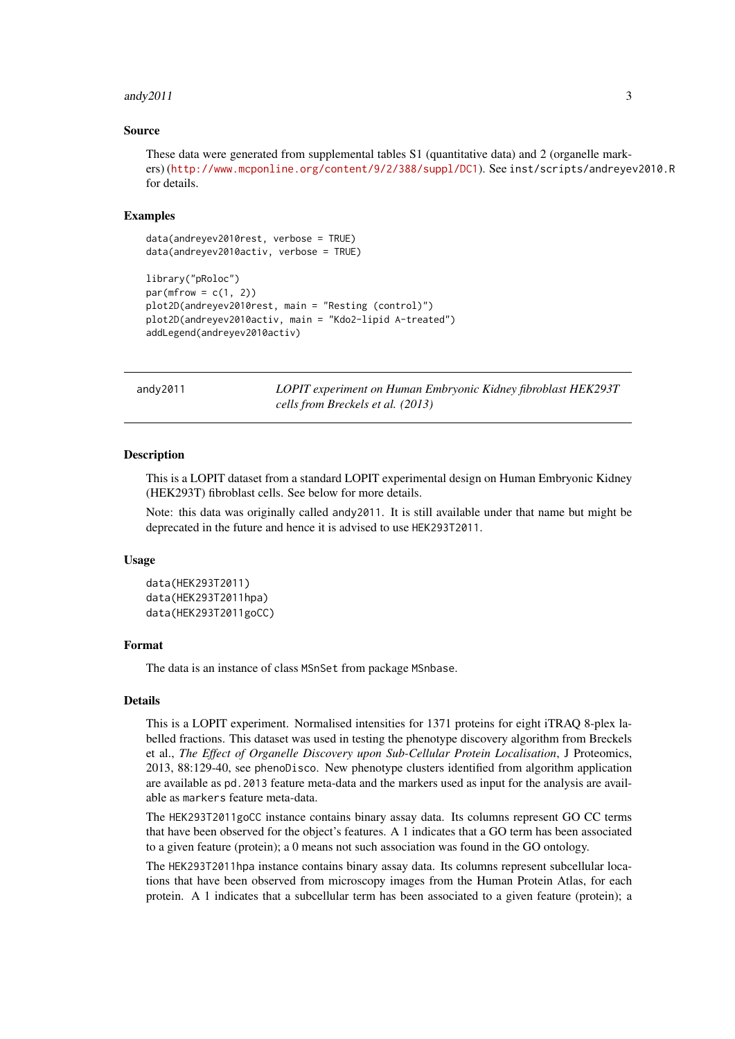#### <span id="page-2-0"></span>andy  $2011$  3

### Source

```
These data were generated from supplemental tables S1 (quantitative data) and 2 (organelle mark-
ers) (http://www.mcponline.org/content/9/2/388/suppl/DC1). See inst/scripts/andreyev2010.R
for details.
```
### Examples

```
data(andreyev2010rest, verbose = TRUE)
data(andreyev2010activ, verbose = TRUE)
library("pRoloc")
par(mfrow = c(1, 2))plot2D(andreyev2010rest, main = "Resting (control)")
plot2D(andreyev2010activ, main = "Kdo2-lipid A-treated")
addLegend(andreyev2010activ)
```
andy2011 *LOPIT experiment on Human Embryonic Kidney fibroblast HEK293T cells from Breckels et al. (2013)*

### Description

This is a LOPIT dataset from a standard LOPIT experimental design on Human Embryonic Kidney (HEK293T) fibroblast cells. See below for more details.

Note: this data was originally called andy2011. It is still available under that name but might be deprecated in the future and hence it is advised to use HEK293T2011.

### Usage

```
data(HEK293T2011)
data(HEK293T2011hpa)
data(HEK293T2011goCC)
```
### Format

The data is an instance of class MSnSet from package MSnbase.

### Details

This is a LOPIT experiment. Normalised intensities for 1371 proteins for eight iTRAQ 8-plex labelled fractions. This dataset was used in testing the phenotype discovery algorithm from Breckels et al., *The Effect of Organelle Discovery upon Sub-Cellular Protein Localisation*, J Proteomics, 2013, 88:129-40, see phenoDisco. New phenotype clusters identified from algorithm application are available as pd.2013 feature meta-data and the markers used as input for the analysis are available as markers feature meta-data.

The HEK293T2011goCC instance contains binary assay data. Its columns represent GO CC terms that have been observed for the object's features. A 1 indicates that a GO term has been associated to a given feature (protein); a 0 means not such association was found in the GO ontology.

The HEK293T2011hpa instance contains binary assay data. Its columns represent subcellular locations that have been observed from microscopy images from the Human Protein Atlas, for each protein. A 1 indicates that a subcellular term has been associated to a given feature (protein); a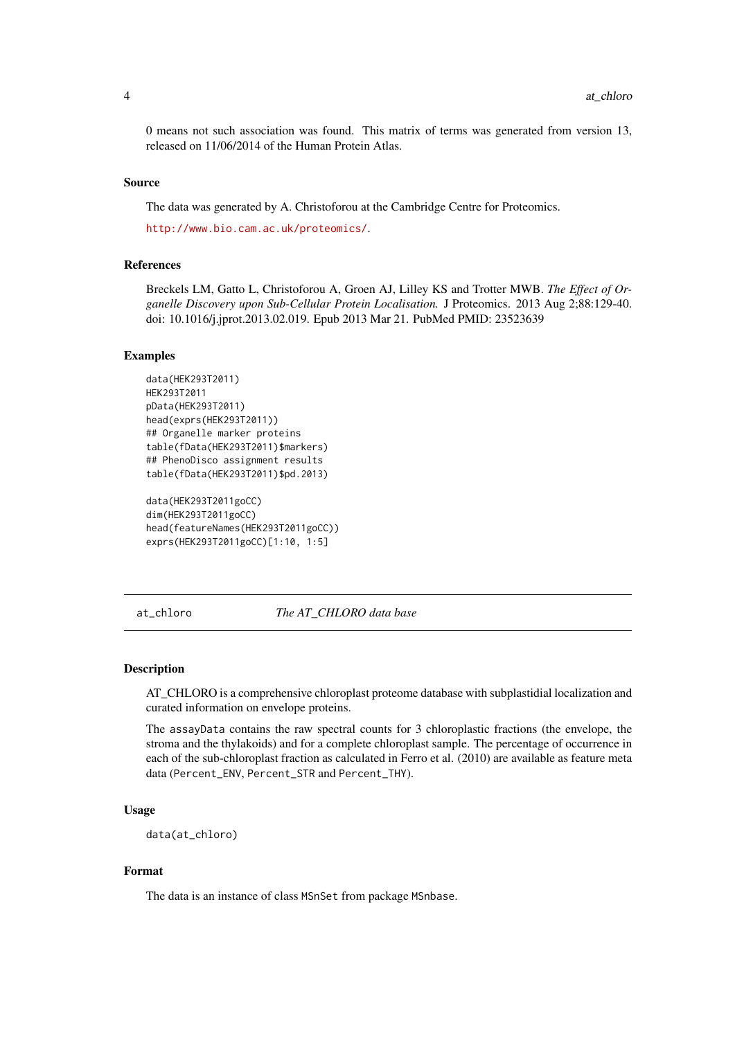0 means not such association was found. This matrix of terms was generated from version 13, released on 11/06/2014 of the Human Protein Atlas.

#### Source

The data was generated by A. Christoforou at the Cambridge Centre for Proteomics.

<http://www.bio.cam.ac.uk/proteomics/>.

### References

Breckels LM, Gatto L, Christoforou A, Groen AJ, Lilley KS and Trotter MWB. *The Effect of Organelle Discovery upon Sub-Cellular Protein Localisation.* J Proteomics. 2013 Aug 2;88:129-40. doi: 10.1016/j.jprot.2013.02.019. Epub 2013 Mar 21. PubMed PMID: 23523639

#### Examples

```
data(HEK293T2011)
HEK293T2011
pData(HEK293T2011)
head(exprs(HEK293T2011))
## Organelle marker proteins
table(fData(HEK293T2011)$markers)
## PhenoDisco assignment results
table(fData(HEK293T2011)$pd.2013)
```

```
data(HEK293T2011goCC)
dim(HEK293T2011goCC)
head(featureNames(HEK293T2011goCC))
exprs(HEK293T2011goCC)[1:10, 1:5]
```
at\_chloro *The AT\_CHLORO data base*

### Description

AT\_CHLORO is a comprehensive chloroplast proteome database with subplastidial localization and curated information on envelope proteins.

The assayData contains the raw spectral counts for 3 chloroplastic fractions (the envelope, the stroma and the thylakoids) and for a complete chloroplast sample. The percentage of occurrence in each of the sub-chloroplast fraction as calculated in Ferro et al. (2010) are available as feature meta data (Percent\_ENV, Percent\_STR and Percent\_THY).

### Usage

data(at\_chloro)

### Format

The data is an instance of class MSnSet from package MSnbase.

<span id="page-3-0"></span>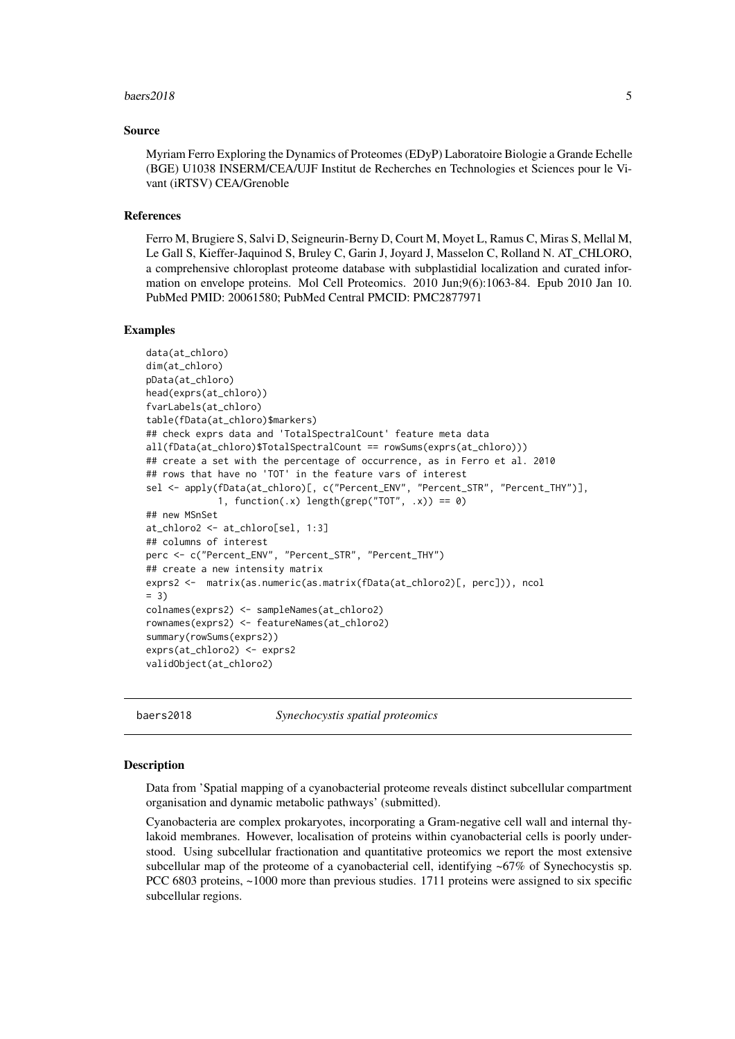#### <span id="page-4-0"></span>baers2018 5

#### Source

Myriam Ferro Exploring the Dynamics of Proteomes (EDyP) Laboratoire Biologie a Grande Echelle (BGE) U1038 INSERM/CEA/UJF Institut de Recherches en Technologies et Sciences pour le Vivant (iRTSV) CEA/Grenoble

#### References

Ferro M, Brugiere S, Salvi D, Seigneurin-Berny D, Court M, Moyet L, Ramus C, Miras S, Mellal M, Le Gall S, Kieffer-Jaquinod S, Bruley C, Garin J, Joyard J, Masselon C, Rolland N. AT\_CHLORO, a comprehensive chloroplast proteome database with subplastidial localization and curated information on envelope proteins. Mol Cell Proteomics. 2010 Jun;9(6):1063-84. Epub 2010 Jan 10. PubMed PMID: 20061580; PubMed Central PMCID: PMC2877971

### Examples

```
data(at_chloro)
dim(at_chloro)
pData(at_chloro)
head(exprs(at_chloro))
fvarLabels(at_chloro)
table(fData(at_chloro)$markers)
## check exprs data and 'TotalSpectralCount' feature meta data
all(fData(at_chloro)$TotalSpectralCount == rowSums(exprs(at_chloro)))
## create a set with the percentage of occurrence, as in Ferro et al. 2010
## rows that have no 'TOT' in the feature vars of interest
sel <- apply(fData(at_chloro)[, c("Percent_ENV", "Percent_STR", "Percent_THY")],
             1, function(.x) length(grep("TOT", .x)) == 0)
## new MSnSet
at_chloro2 <- at_chloro[sel, 1:3]
## columns of interest
perc <- c("Percent_ENV", "Percent_STR", "Percent_THY")
## create a new intensity matrix
exprs2 <- matrix(as.numeric(as.matrix(fData(at_chloro2)[, perc])), ncol
= 3colnames(exprs2) <- sampleNames(at_chloro2)
rownames(exprs2) <- featureNames(at_chloro2)
summary(rowSums(exprs2))
exprs(at_chloro2) <- exprs2
validObject(at_chloro2)
```
baers2018 *Synechocystis spatial proteomics*

### Description

Data from 'Spatial mapping of a cyanobacterial proteome reveals distinct subcellular compartment organisation and dynamic metabolic pathways' (submitted).

Cyanobacteria are complex prokaryotes, incorporating a Gram-negative cell wall and internal thylakoid membranes. However, localisation of proteins within cyanobacterial cells is poorly understood. Using subcellular fractionation and quantitative proteomics we report the most extensive subcellular map of the proteome of a cyanobacterial cell, identifying ~67% of Synechocystis sp. PCC 6803 proteins, ~1000 more than previous studies. 1711 proteins were assigned to six specific subcellular regions.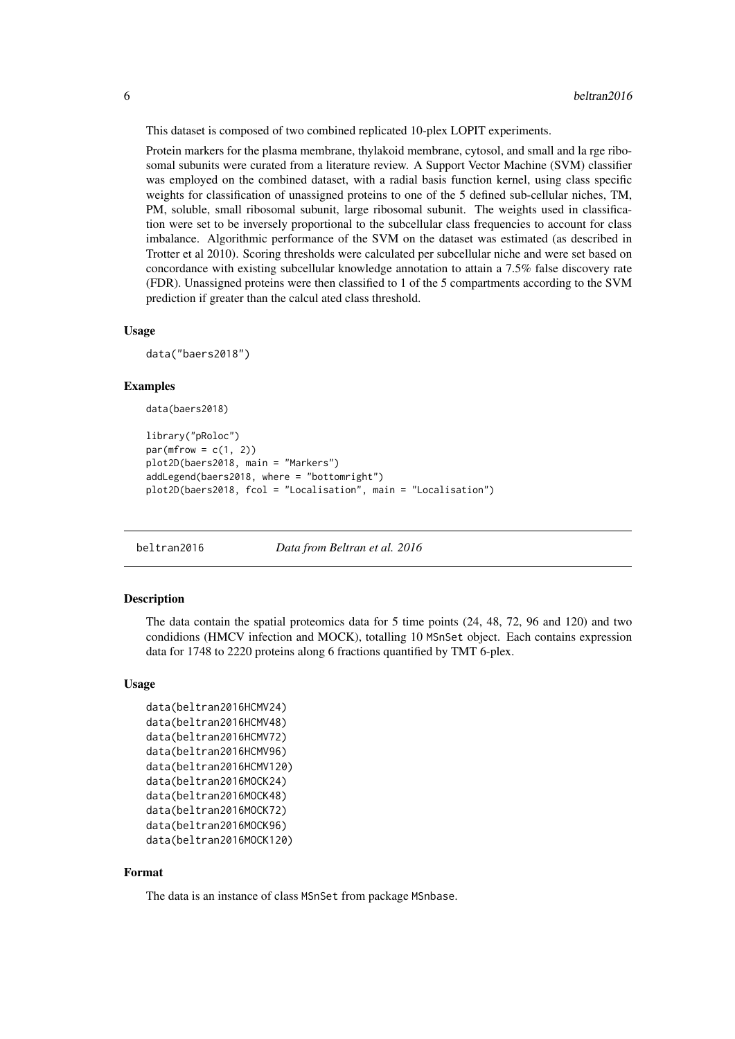This dataset is composed of two combined replicated 10-plex LOPIT experiments.

Protein markers for the plasma membrane, thylakoid membrane, cytosol, and small and la rge ribosomal subunits were curated from a literature review. A Support Vector Machine (SVM) classifier was employed on the combined dataset, with a radial basis function kernel, using class specific weights for classification of unassigned proteins to one of the 5 defined sub-cellular niches, TM, PM, soluble, small ribosomal subunit, large ribosomal subunit. The weights used in classification were set to be inversely proportional to the subcellular class frequencies to account for class imbalance. Algorithmic performance of the SVM on the dataset was estimated (as described in Trotter et al 2010). Scoring thresholds were calculated per subcellular niche and were set based on concordance with existing subcellular knowledge annotation to attain a 7.5% false discovery rate (FDR). Unassigned proteins were then classified to 1 of the 5 compartments according to the SVM prediction if greater than the calcul ated class threshold.

### Usage

data("baers2018")

#### Examples

```
data(baers2018)
```

```
library("pRoloc")
par(mfrow = c(1, 2))plot2D(baers2018, main = "Markers")
addLegend(baers2018, where = "bottomright")
plot2D(baers2018, fcol = "Localisation", main = "Localisation")
```
beltran2016 *Data from Beltran et al. 2016*

### Description

The data contain the spatial proteomics data for 5 time points (24, 48, 72, 96 and 120) and two condidions (HMCV infection and MOCK), totalling 10 MSnSet object. Each contains expression data for 1748 to 2220 proteins along 6 fractions quantified by TMT 6-plex.

### Usage

```
data(beltran2016HCMV24)
data(beltran2016HCMV48)
data(beltran2016HCMV72)
data(beltran2016HCMV96)
data(beltran2016HCMV120)
data(beltran2016MOCK24)
data(beltran2016MOCK48)
data(beltran2016MOCK72)
data(beltran2016MOCK96)
data(beltran2016MOCK120)
```
### Format

The data is an instance of class MSnSet from package MSnbase.

<span id="page-5-0"></span>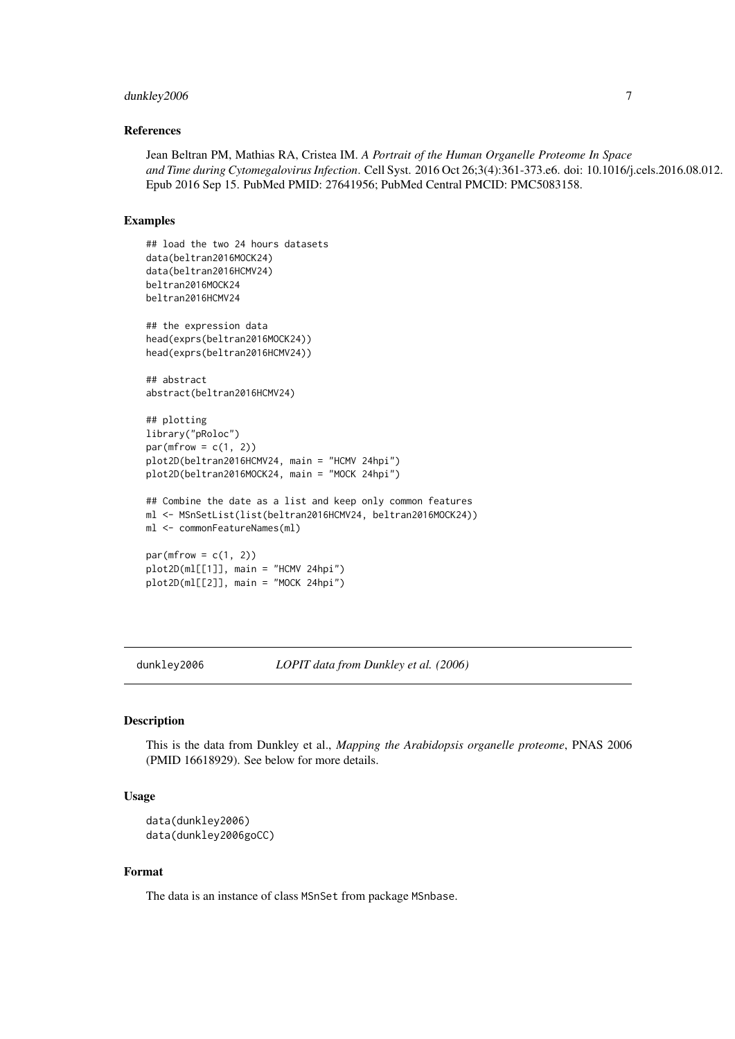#### <span id="page-6-0"></span>dunkley2006 7

### References

Jean Beltran PM, Mathias RA, Cristea IM. *A Portrait of the Human Organelle Proteome In Space and Time during Cytomegalovirus Infection*. Cell Syst. 2016 Oct 26;3(4):361-373.e6. doi: 10.1016/j.cels.2016.08.012. Epub 2016 Sep 15. PubMed PMID: 27641956; PubMed Central PMCID: PMC5083158.

### Examples

```
## load the two 24 hours datasets
data(beltran2016MOCK24)
data(beltran2016HCMV24)
beltran2016MOCK24
beltran2016HCMV24
## the expression data
head(exprs(beltran2016MOCK24))
head(exprs(beltran2016HCMV24))
## abstract
abstract(beltran2016HCMV24)
## plotting
library("pRoloc")
par(mfrow = c(1, 2))plot2D(beltran2016HCMV24, main = "HCMV 24hpi")
plot2D(beltran2016MOCK24, main = "MOCK 24hpi")
## Combine the date as a list and keep only common features
ml <- MSnSetList(list(beltran2016HCMV24, beltran2016MOCK24))
ml <- commonFeatureNames(ml)
par(mfrow = c(1, 2))plot2D(ml[[1]], main = "HCMV 24hpi")
plot2D(ml[[2]], main = "MOCK 24hpi")
```
dunkley2006 *LOPIT data from Dunkley et al. (2006)*

### Description

This is the data from Dunkley et al., *Mapping the Arabidopsis organelle proteome*, PNAS 2006 (PMID 16618929). See below for more details.

### Usage

```
data(dunkley2006)
data(dunkley2006goCC)
```
### Format

The data is an instance of class MSnSet from package MSnbase.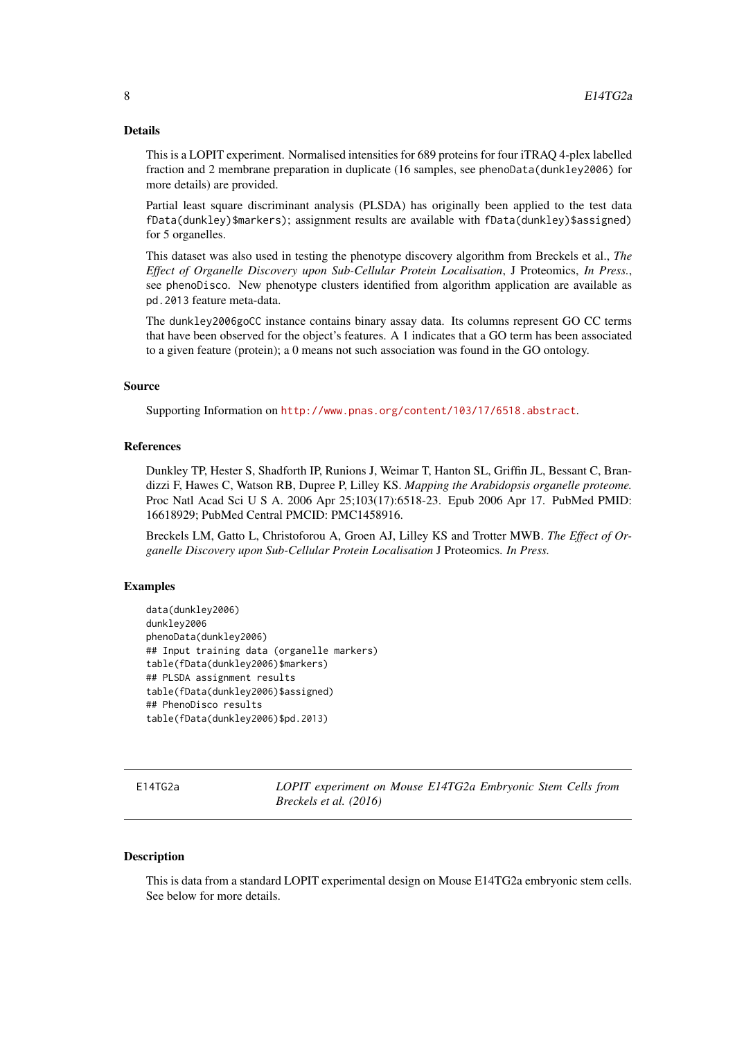### Details

This is a LOPIT experiment. Normalised intensities for 689 proteins for four iTRAQ 4-plex labelled fraction and 2 membrane preparation in duplicate (16 samples, see phenoData(dunkley2006) for more details) are provided.

Partial least square discriminant analysis (PLSDA) has originally been applied to the test data fData(dunkley)\$markers); assignment results are available with fData(dunkley)\$assigned) for 5 organelles.

This dataset was also used in testing the phenotype discovery algorithm from Breckels et al., *The Effect of Organelle Discovery upon Sub-Cellular Protein Localisation*, J Proteomics, *In Press.*, see phenoDisco. New phenotype clusters identified from algorithm application are available as pd.2013 feature meta-data.

The dunkley2006goCC instance contains binary assay data. Its columns represent GO CC terms that have been observed for the object's features. A 1 indicates that a GO term has been associated to a given feature (protein); a 0 means not such association was found in the GO ontology.

### Source

Supporting Information on <http://www.pnas.org/content/103/17/6518.abstract>.

#### References

Dunkley TP, Hester S, Shadforth IP, Runions J, Weimar T, Hanton SL, Griffin JL, Bessant C, Brandizzi F, Hawes C, Watson RB, Dupree P, Lilley KS. *Mapping the Arabidopsis organelle proteome.* Proc Natl Acad Sci U S A. 2006 Apr 25;103(17):6518-23. Epub 2006 Apr 17. PubMed PMID: 16618929; PubMed Central PMCID: PMC1458916.

Breckels LM, Gatto L, Christoforou A, Groen AJ, Lilley KS and Trotter MWB. *The Effect of Organelle Discovery upon Sub-Cellular Protein Localisation* J Proteomics. *In Press.*

### Examples

```
data(dunkley2006)
dunkley2006
phenoData(dunkley2006)
## Input training data (organelle markers)
table(fData(dunkley2006)$markers)
## PLSDA assignment results
table(fData(dunkley2006)$assigned)
## PhenoDisco results
table(fData(dunkley2006)$pd.2013)
```
E14TG2a *LOPIT experiment on Mouse E14TG2a Embryonic Stem Cells from Breckels et al. (2016)*

### Description

This is data from a standard LOPIT experimental design on Mouse E14TG2a embryonic stem cells. See below for more details.

<span id="page-7-0"></span>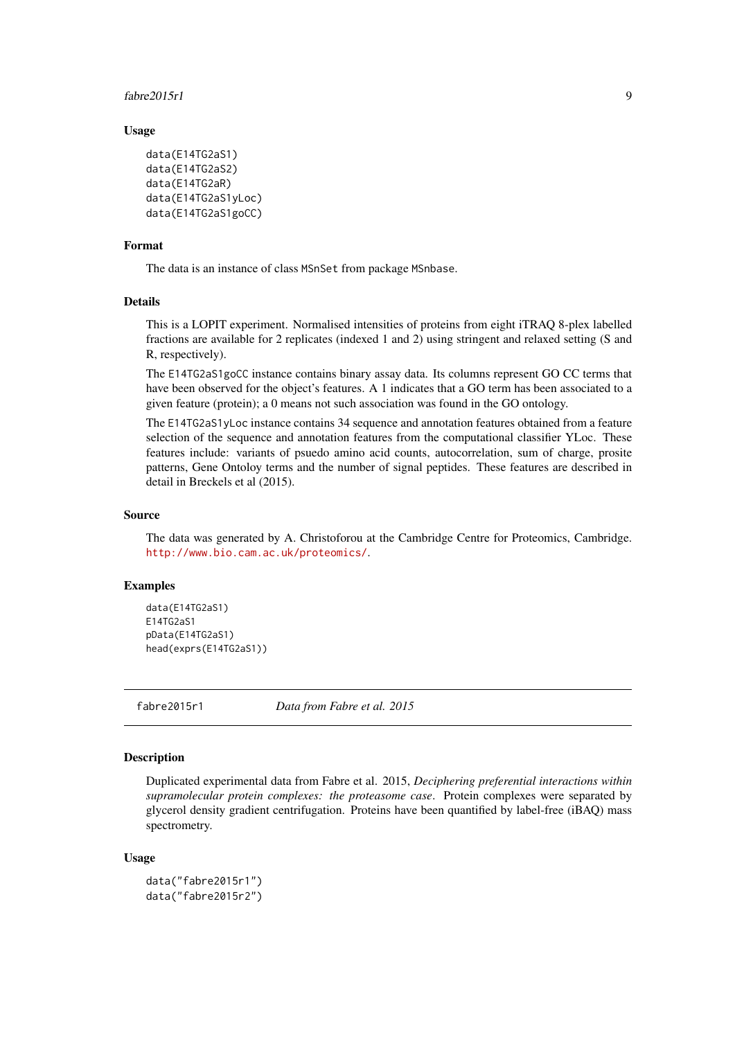### <span id="page-8-0"></span>fabre2015r1 9

### Usage

```
data(E14TG2aS1)
data(E14TG2aS2)
data(E14TG2aR)
data(E14TG2aS1yLoc)
data(E14TG2aS1goCC)
```
### Format

The data is an instance of class MSnSet from package MSnbase.

### Details

This is a LOPIT experiment. Normalised intensities of proteins from eight iTRAQ 8-plex labelled fractions are available for 2 replicates (indexed 1 and 2) using stringent and relaxed setting (S and R, respectively).

The E14TG2aS1goCC instance contains binary assay data. Its columns represent GO CC terms that have been observed for the object's features. A 1 indicates that a GO term has been associated to a given feature (protein); a 0 means not such association was found in the GO ontology.

The E14TG2aS1yLoc instance contains 34 sequence and annotation features obtained from a feature selection of the sequence and annotation features from the computational classifier YLoc. These features include: variants of psuedo amino acid counts, autocorrelation, sum of charge, prosite patterns, Gene Ontoloy terms and the number of signal peptides. These features are described in detail in Breckels et al (2015).

#### Source

The data was generated by A. Christoforou at the Cambridge Centre for Proteomics, Cambridge. <http://www.bio.cam.ac.uk/proteomics/>.

### Examples

```
data(E14TG2aS1)
E14TG2aS1
pData(E14TG2aS1)
head(exprs(E14TG2aS1))
```
fabre2015r1 *Data from Fabre et al. 2015*

### Description

Duplicated experimental data from Fabre et al. 2015, *Deciphering preferential interactions within supramolecular protein complexes: the proteasome case*. Protein complexes were separated by glycerol density gradient centrifugation. Proteins have been quantified by label-free (iBAQ) mass spectrometry.

```
data("fabre2015r1")
data("fabre2015r2")
```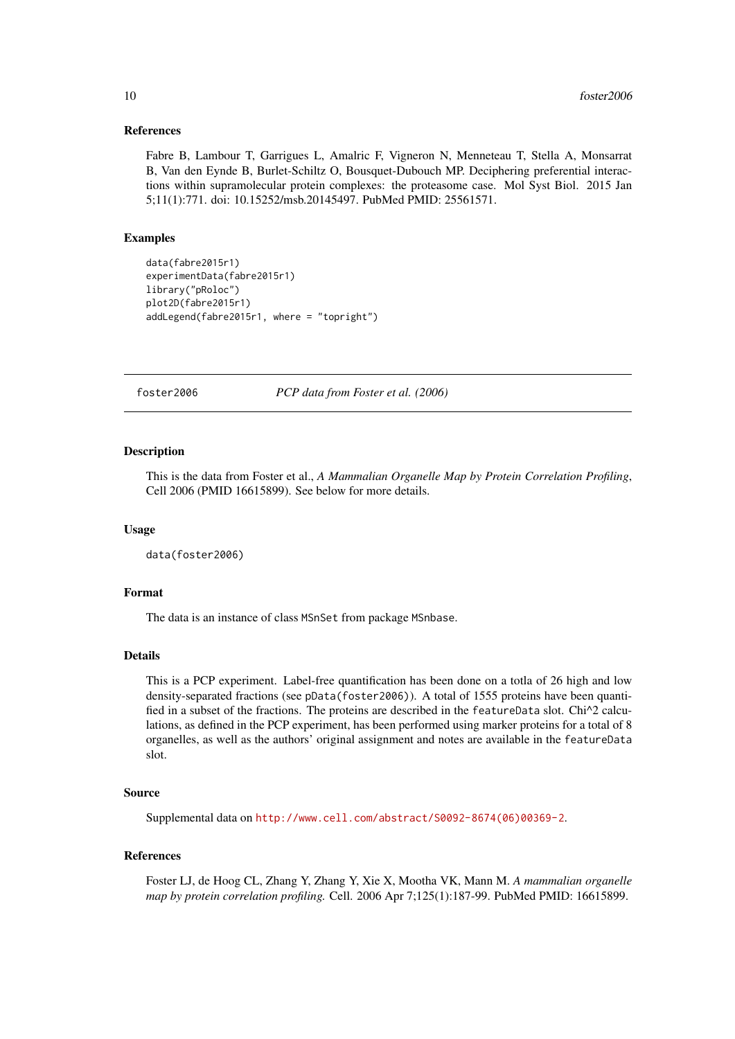### <span id="page-9-0"></span>References

Fabre B, Lambour T, Garrigues L, Amalric F, Vigneron N, Menneteau T, Stella A, Monsarrat B, Van den Eynde B, Burlet-Schiltz O, Bousquet-Dubouch MP. Deciphering preferential interactions within supramolecular protein complexes: the proteasome case. Mol Syst Biol. 2015 Jan 5;11(1):771. doi: 10.15252/msb.20145497. PubMed PMID: 25561571.

### Examples

```
data(fabre2015r1)
experimentData(fabre2015r1)
library("pRoloc")
plot2D(fabre2015r1)
addLegend(fabre2015r1, where = "topright")
```
foster2006 *PCP data from Foster et al. (2006)*

### Description

This is the data from Foster et al., *A Mammalian Organelle Map by Protein Correlation Profiling*, Cell 2006 (PMID 16615899). See below for more details.

#### Usage

```
data(foster2006)
```
### Format

The data is an instance of class MSnSet from package MSnbase.

### Details

This is a PCP experiment. Label-free quantification has been done on a totla of 26 high and low density-separated fractions (see pData(foster2006)). A total of 1555 proteins have been quantified in a subset of the fractions. The proteins are described in the featureData slot. Chi<sup> $\gamma$ </sup> calculations, as defined in the PCP experiment, has been performed using marker proteins for a total of 8 organelles, as well as the authors' original assignment and notes are available in the featureData slot.

### Source

Supplemental data on [http://www.cell.com/abstract/S0092-8674\(06\)00369-2](http://www.cell.com/abstract/S0092-8674(06)00369-2).

### References

Foster LJ, de Hoog CL, Zhang Y, Zhang Y, Xie X, Mootha VK, Mann M. *A mammalian organelle map by protein correlation profiling.* Cell. 2006 Apr 7;125(1):187-99. PubMed PMID: 16615899.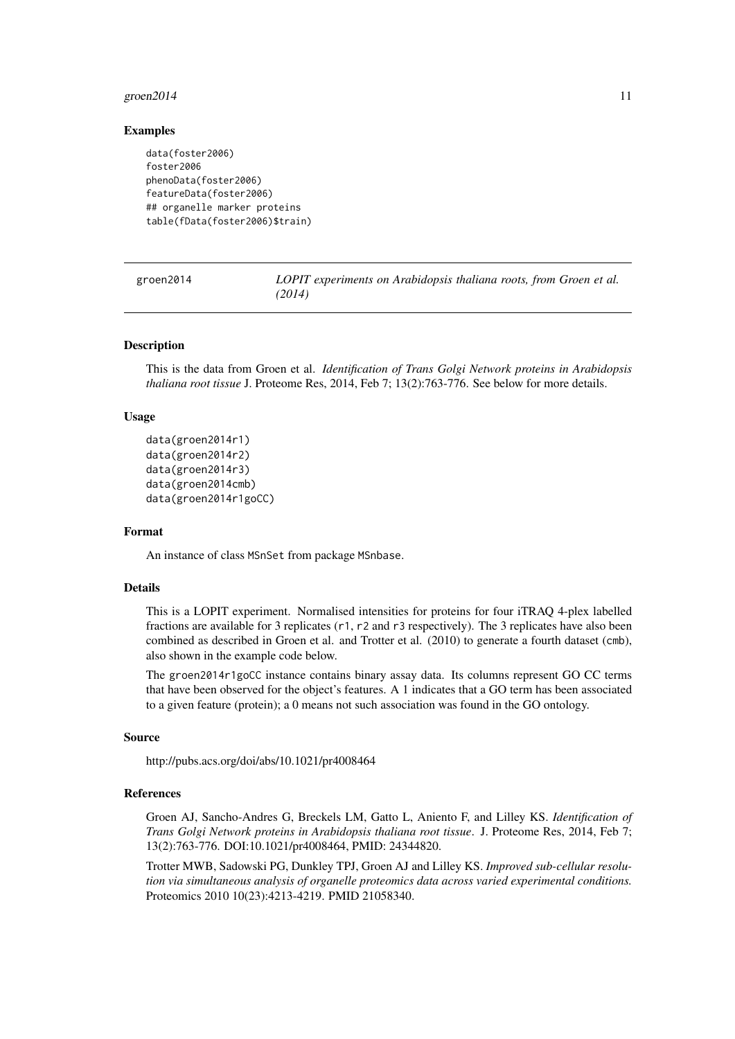#### <span id="page-10-0"></span> $\frac{11}{11}$

### Examples

```
data(foster2006)
foster2006
phenoData(foster2006)
featureData(foster2006)
## organelle marker proteins
table(fData(foster2006)$train)
```
groen2014 *LOPIT experiments on Arabidopsis thaliana roots, from Groen et al. (2014)*

### Description

This is the data from Groen et al. *Identification of Trans Golgi Network proteins in Arabidopsis thaliana root tissue* J. Proteome Res, 2014, Feb 7; 13(2):763-776. See below for more details.

### Usage

```
data(groen2014r1)
data(groen2014r2)
data(groen2014r3)
data(groen2014cmb)
data(groen2014r1goCC)
```
### Format

An instance of class MSnSet from package MSnbase.

### Details

This is a LOPIT experiment. Normalised intensities for proteins for four iTRAQ 4-plex labelled fractions are available for 3 replicates (r1, r2 and r3 respectively). The 3 replicates have also been combined as described in Groen et al. and Trotter et al. (2010) to generate a fourth dataset (cmb), also shown in the example code below.

The groen2014r1goCC instance contains binary assay data. Its columns represent GO CC terms that have been observed for the object's features. A 1 indicates that a GO term has been associated to a given feature (protein); a 0 means not such association was found in the GO ontology.

#### Source

http://pubs.acs.org/doi/abs/10.1021/pr4008464

#### References

Groen AJ, Sancho-Andres G, Breckels LM, Gatto L, Aniento F, and Lilley KS. *Identification of Trans Golgi Network proteins in Arabidopsis thaliana root tissue*. J. Proteome Res, 2014, Feb 7; 13(2):763-776. DOI:10.1021/pr4008464, PMID: 24344820.

Trotter MWB, Sadowski PG, Dunkley TPJ, Groen AJ and Lilley KS. *Improved sub-cellular resolution via simultaneous analysis of organelle proteomics data across varied experimental conditions.* Proteomics 2010 10(23):4213-4219. PMID 21058340.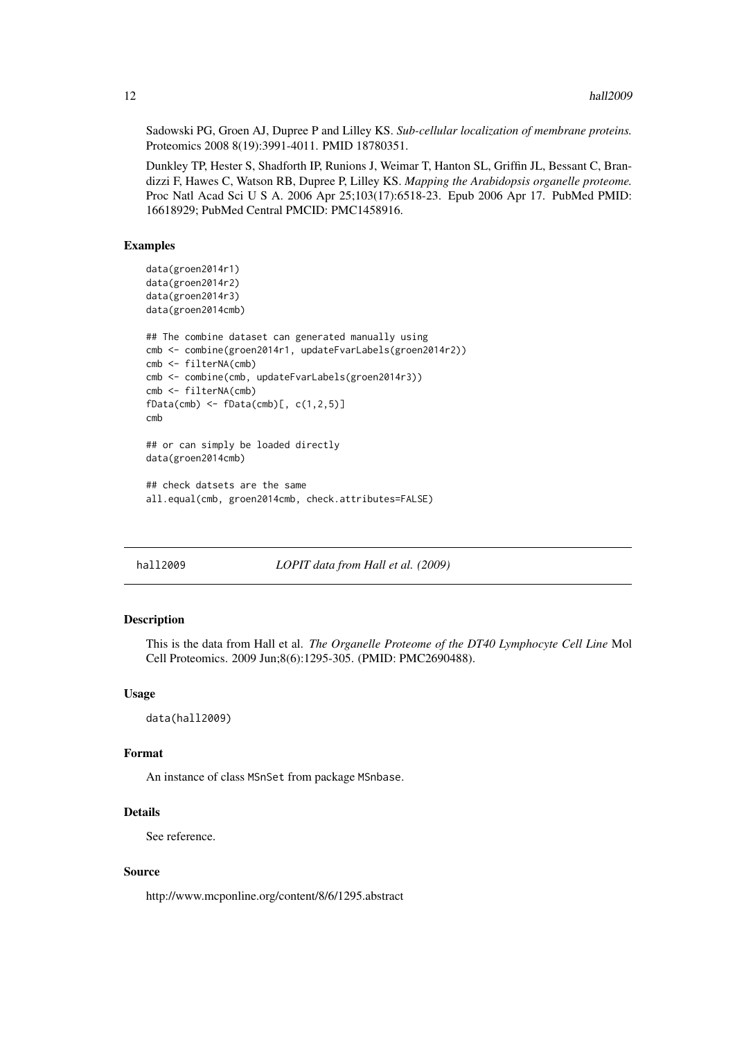Sadowski PG, Groen AJ, Dupree P and Lilley KS. *Sub-cellular localization of membrane proteins.* Proteomics 2008 8(19):3991-4011. PMID 18780351.

Dunkley TP, Hester S, Shadforth IP, Runions J, Weimar T, Hanton SL, Griffin JL, Bessant C, Brandizzi F, Hawes C, Watson RB, Dupree P, Lilley KS. *Mapping the Arabidopsis organelle proteome.* Proc Natl Acad Sci U S A. 2006 Apr 25;103(17):6518-23. Epub 2006 Apr 17. PubMed PMID: 16618929; PubMed Central PMCID: PMC1458916.

### Examples

```
data(groen2014r1)
data(groen2014r2)
data(groen2014r3)
data(groen2014cmb)
## The combine dataset can generated manually using
cmb <- combine(groen2014r1, updateFvarLabels(groen2014r2))
cmb <- filterNA(cmb)
cmb <- combine(cmb, updateFvarLabels(groen2014r3))
cmb <- filterNA(cmb)
fbata(cmb) < -fbata(cmb), c(1,2,5)]
cmb
## or can simply be loaded directly
data(groen2014cmb)
```

```
## check datsets are the same
all.equal(cmb, groen2014cmb, check.attributes=FALSE)
```
hall2009 *LOPIT data from Hall et al. (2009)*

### Description

This is the data from Hall et al. *The Organelle Proteome of the DT40 Lymphocyte Cell Line* Mol Cell Proteomics. 2009 Jun;8(6):1295-305. (PMID: PMC2690488).

#### Usage

data(hall2009)

### Format

An instance of class MSnSet from package MSnbase.

### Details

See reference.

### Source

http://www.mcponline.org/content/8/6/1295.abstract

<span id="page-11-0"></span>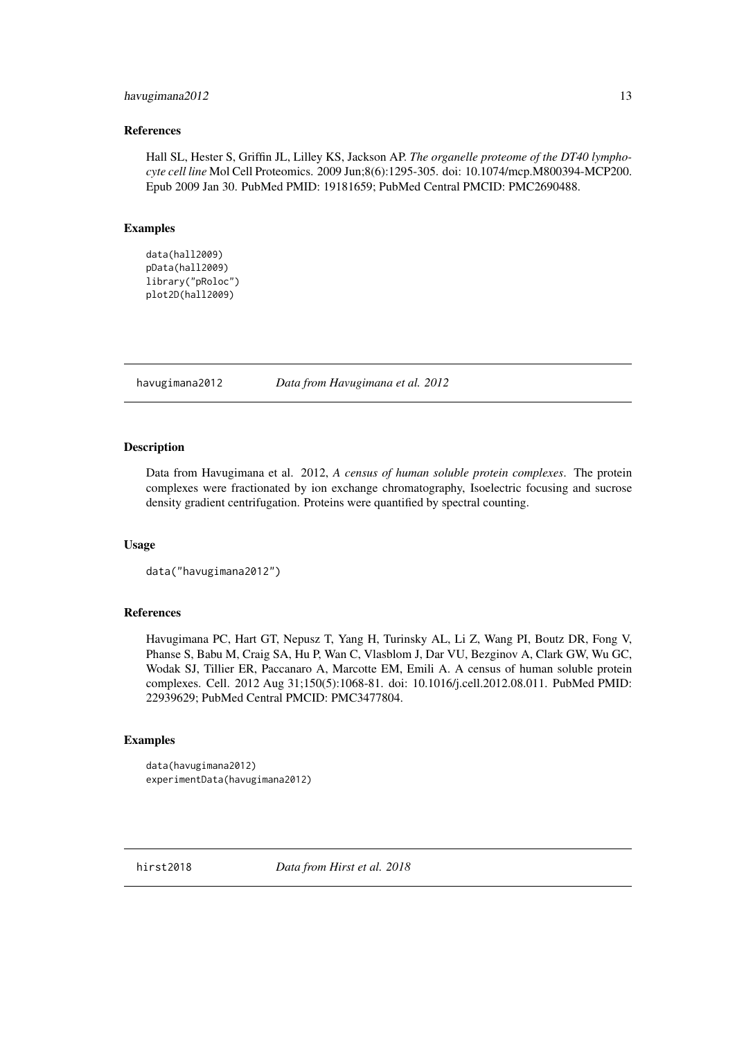### <span id="page-12-0"></span>havugimana2012 13

### References

Hall SL, Hester S, Griffin JL, Lilley KS, Jackson AP. *The organelle proteome of the DT40 lymphocyte cell line* Mol Cell Proteomics. 2009 Jun;8(6):1295-305. doi: 10.1074/mcp.M800394-MCP200. Epub 2009 Jan 30. PubMed PMID: 19181659; PubMed Central PMCID: PMC2690488.

### Examples

```
data(hall2009)
pData(hall2009)
library("pRoloc")
plot2D(hall2009)
```
havugimana2012 *Data from Havugimana et al. 2012*

### Description

Data from Havugimana et al. 2012, *A census of human soluble protein complexes*. The protein complexes were fractionated by ion exchange chromatography, Isoelectric focusing and sucrose density gradient centrifugation. Proteins were quantified by spectral counting.

#### Usage

```
data("havugimana2012")
```
### References

Havugimana PC, Hart GT, Nepusz T, Yang H, Turinsky AL, Li Z, Wang PI, Boutz DR, Fong V, Phanse S, Babu M, Craig SA, Hu P, Wan C, Vlasblom J, Dar VU, Bezginov A, Clark GW, Wu GC, Wodak SJ, Tillier ER, Paccanaro A, Marcotte EM, Emili A. A census of human soluble protein complexes. Cell. 2012 Aug 31;150(5):1068-81. doi: 10.1016/j.cell.2012.08.011. PubMed PMID: 22939629; PubMed Central PMCID: PMC3477804.

### Examples

```
data(havugimana2012)
experimentData(havugimana2012)
```
hirst2018 *Data from Hirst et al. 2018*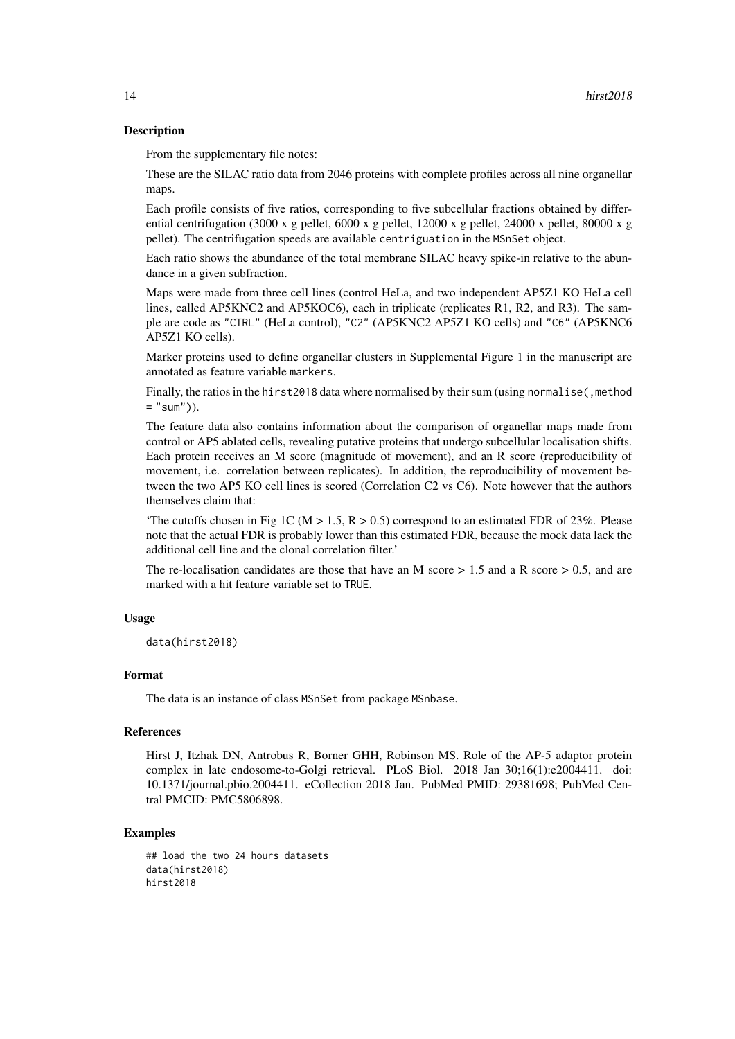### Description

From the supplementary file notes:

These are the SILAC ratio data from 2046 proteins with complete profiles across all nine organellar maps.

Each profile consists of five ratios, corresponding to five subcellular fractions obtained by differential centrifugation (3000 x g pellet, 6000 x g pellet, 12000 x g pellet, 24000 x pellet, 80000 x g pellet). The centrifugation speeds are available centriguation in the MSnSet object.

Each ratio shows the abundance of the total membrane SILAC heavy spike-in relative to the abundance in a given subfraction.

Maps were made from three cell lines (control HeLa, and two independent AP5Z1 KO HeLa cell lines, called AP5KNC2 and AP5KOC6), each in triplicate (replicates R1, R2, and R3). The sample are code as "CTRL" (HeLa control), "C2" (AP5KNC2 AP5Z1 KO cells) and "C6" (AP5KNC6 AP5Z1 KO cells).

Marker proteins used to define organellar clusters in Supplemental Figure 1 in the manuscript are annotated as feature variable markers.

Finally, the ratios in the hirst2018 data where normalised by their sum (using normalise(, method  $=$  "sum")).

The feature data also contains information about the comparison of organellar maps made from control or AP5 ablated cells, revealing putative proteins that undergo subcellular localisation shifts. Each protein receives an M score (magnitude of movement), and an R score (reproducibility of movement, i.e. correlation between replicates). In addition, the reproducibility of movement between the two AP5 KO cell lines is scored (Correlation C2 vs C6). Note however that the authors themselves claim that:

'The cutoffs chosen in Fig 1C (M  $> 1.5$ , R  $> 0.5$ ) correspond to an estimated FDR of 23%. Please note that the actual FDR is probably lower than this estimated FDR, because the mock data lack the additional cell line and the clonal correlation filter.'

The re-localisation candidates are those that have an M score  $> 1.5$  and a R score  $> 0.5$ , and are marked with a hit feature variable set to TRUE.

#### Usage

data(hirst2018)

### Format

The data is an instance of class MSnSet from package MSnbase.

#### References

Hirst J, Itzhak DN, Antrobus R, Borner GHH, Robinson MS. Role of the AP-5 adaptor protein complex in late endosome-to-Golgi retrieval. PLoS Biol. 2018 Jan 30;16(1):e2004411. doi: 10.1371/journal.pbio.2004411. eCollection 2018 Jan. PubMed PMID: 29381698; PubMed Central PMCID: PMC5806898.

### Examples

```
## load the two 24 hours datasets
data(hirst2018)
hirst2018
```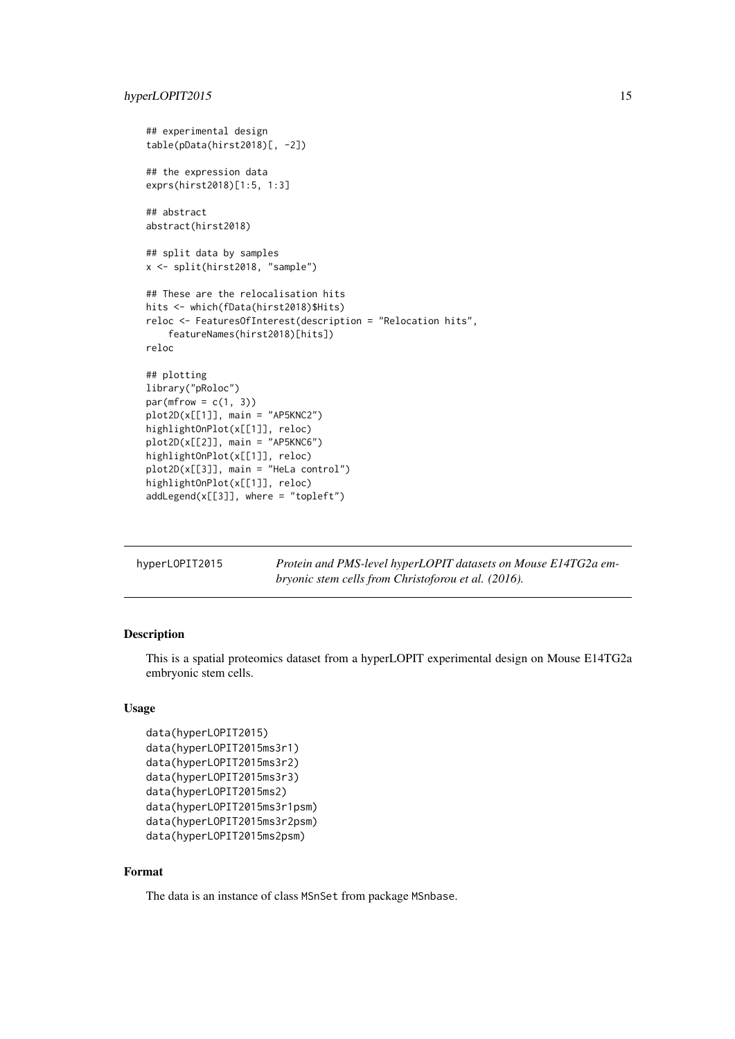### <span id="page-14-0"></span>hyperLOPIT2015 15

```
## experimental design
table(pData(hirst2018)[, -2])
## the expression data
exprs(hirst2018)[1:5, 1:3]
## abstract
abstract(hirst2018)
## split data by samples
x <- split(hirst2018, "sample")
## These are the relocalisation hits
hits <- which(fData(hirst2018)$Hits)
reloc <- FeaturesOfInterest(description = "Relocation hits",
    featureNames(hirst2018)[hits])
reloc
## plotting
library("pRoloc")
par(mfrow = c(1, 3))plot2D(x[[1]], \text{ main} = "AP5KNC2")highlightOnPlot(x[[1]], reloc)
plot2D(x[[2]], main = "AP5KNC6")
highlightOnPlot(x[[1]], reloc)
plot2D(x[[3]], main = "HeLa control")
highlightOnPlot(x[[1]], reloc)
addLegend(x[[3]], where = "topleft")
```

| hyperLOPIT2015 | Protein and PMS-level hyperLOPIT datasets on Mouse E14TG2a em- |
|----------------|----------------------------------------------------------------|
|                | <i>bryonic stem cells from Christoforou et al. (2016).</i>     |

### Description

This is a spatial proteomics dataset from a hyperLOPIT experimental design on Mouse E14TG2a embryonic stem cells.

### Usage

```
data(hyperLOPIT2015)
data(hyperLOPIT2015ms3r1)
data(hyperLOPIT2015ms3r2)
data(hyperLOPIT2015ms3r3)
data(hyperLOPIT2015ms2)
data(hyperLOPIT2015ms3r1psm)
data(hyperLOPIT2015ms3r2psm)
data(hyperLOPIT2015ms2psm)
```
### Format

The data is an instance of class MSnSet from package MSnbase.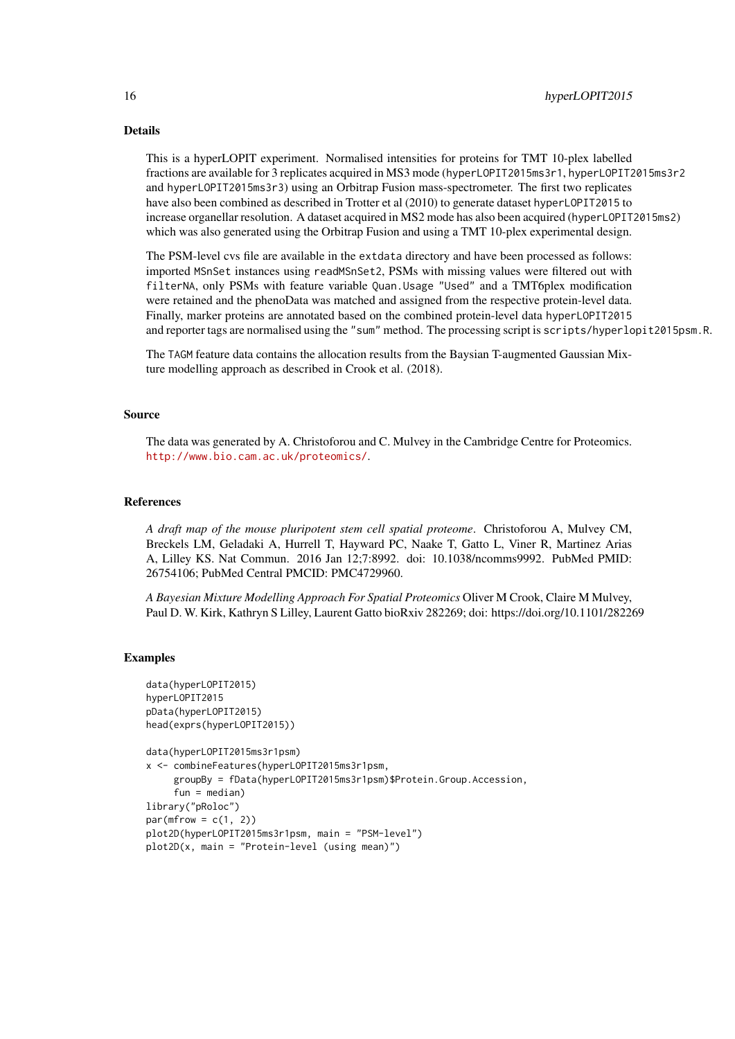### Details

This is a hyperLOPIT experiment. Normalised intensities for proteins for TMT 10-plex labelled fractions are available for 3 replicates acquired in MS3 mode (hyperLOPIT2015ms3r1, hyperLOPIT2015ms3r2 and hyperLOPIT2015ms3r3) using an Orbitrap Fusion mass-spectrometer. The first two replicates have also been combined as described in Trotter et al (2010) to generate dataset hyperLOPIT2015 to increase organellar resolution. A dataset acquired in MS2 mode has also been acquired (hyperLOPIT2015ms2) which was also generated using the Orbitrap Fusion and using a TMT 10-plex experimental design.

The PSM-level cvs file are available in the extdata directory and have been processed as follows: imported MSnSet instances using readMSnSet2, PSMs with missing values were filtered out with filterNA, only PSMs with feature variable Quan.Usage "Used" and a TMT6plex modification were retained and the phenoData was matched and assigned from the respective protein-level data. Finally, marker proteins are annotated based on the combined protein-level data hyperLOPIT2015 and reporter tags are normalised using the "sum" method. The processing script is scripts/hyperlopit2015psm.R.

The TAGM feature data contains the allocation results from the Baysian T-augmented Gaussian Mixture modelling approach as described in Crook et al. (2018).

#### Source

The data was generated by A. Christoforou and C. Mulvey in the Cambridge Centre for Proteomics. <http://www.bio.cam.ac.uk/proteomics/>.

#### References

*A draft map of the mouse pluripotent stem cell spatial proteome*. Christoforou A, Mulvey CM, Breckels LM, Geladaki A, Hurrell T, Hayward PC, Naake T, Gatto L, Viner R, Martinez Arias A, Lilley KS. Nat Commun. 2016 Jan 12;7:8992. doi: 10.1038/ncomms9992. PubMed PMID: 26754106; PubMed Central PMCID: PMC4729960.

*A Bayesian Mixture Modelling Approach For Spatial Proteomics* Oliver M Crook, Claire M Mulvey, Paul D. W. Kirk, Kathryn S Lilley, Laurent Gatto bioRxiv 282269; doi: https://doi.org/10.1101/282269

### Examples

```
data(hyperLOPIT2015)
hyperLOPIT2015
pData(hyperLOPIT2015)
head(exprs(hyperLOPIT2015))
data(hyperLOPIT2015ms3r1psm)
x <- combineFeatures(hyperLOPIT2015ms3r1psm,
     groupBy = fData(hyperLOPIT2015ms3r1psm)$Protein.Group.Accession,
     fun = median)library("pRoloc")
par(mfrow = c(1, 2))plot2D(hyperLOPIT2015ms3r1psm, main = "PSM-level")
plot2D(x, main = "Protein-level (using mean)")
```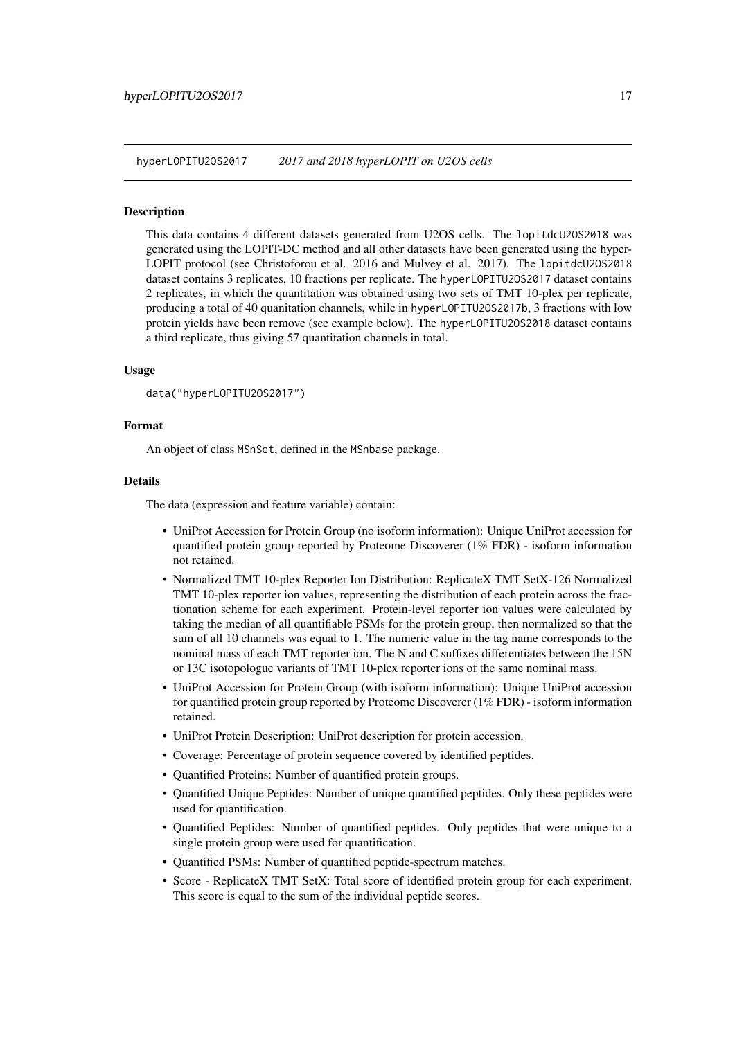<span id="page-16-0"></span>hyperLOPITU2OS2017 *2017 and 2018 hyperLOPIT on U2OS cells*

### Description

This data contains 4 different datasets generated from U2OS cells. The lopitdcU2OS2018 was generated using the LOPIT-DC method and all other datasets have been generated using the hyper-LOPIT protocol (see Christoforou et al. 2016 and Mulvey et al. 2017). The lopitdcU2OS2018 dataset contains 3 replicates, 10 fractions per replicate. The hyperLOPITU2OS2017 dataset contains 2 replicates, in which the quantitation was obtained using two sets of TMT 10-plex per replicate, producing a total of 40 quanitation channels, while in hyperLOPITU2OS2017b, 3 fractions with low protein yields have been remove (see example below). The hyperLOPITU2OS2018 dataset contains a third replicate, thus giving 57 quantitation channels in total.

### Usage

```
data("hyperLOPITU2OS2017")
```
### Format

An object of class MSnSet, defined in the MSnbase package.

### Details

The data (expression and feature variable) contain:

- UniProt Accession for Protein Group (no isoform information): Unique UniProt accession for quantified protein group reported by Proteome Discoverer (1% FDR) - isoform information not retained.
- Normalized TMT 10-plex Reporter Ion Distribution: ReplicateX TMT SetX-126 Normalized TMT 10-plex reporter ion values, representing the distribution of each protein across the fractionation scheme for each experiment. Protein-level reporter ion values were calculated by taking the median of all quantifiable PSMs for the protein group, then normalized so that the sum of all 10 channels was equal to 1. The numeric value in the tag name corresponds to the nominal mass of each TMT reporter ion. The N and C suffixes differentiates between the 15N or 13C isotopologue variants of TMT 10-plex reporter ions of the same nominal mass.
- UniProt Accession for Protein Group (with isoform information): Unique UniProt accession for quantified protein group reported by Proteome Discoverer (1% FDR) - isoform information retained.
- UniProt Protein Description: UniProt description for protein accession.
- Coverage: Percentage of protein sequence covered by identified peptides.
- Quantified Proteins: Number of quantified protein groups.
- Quantified Unique Peptides: Number of unique quantified peptides. Only these peptides were used for quantification.
- Quantified Peptides: Number of quantified peptides. Only peptides that were unique to a single protein group were used for quantification.
- Quantified PSMs: Number of quantified peptide-spectrum matches.
- Score ReplicateX TMT SetX: Total score of identified protein group for each experiment. This score is equal to the sum of the individual peptide scores.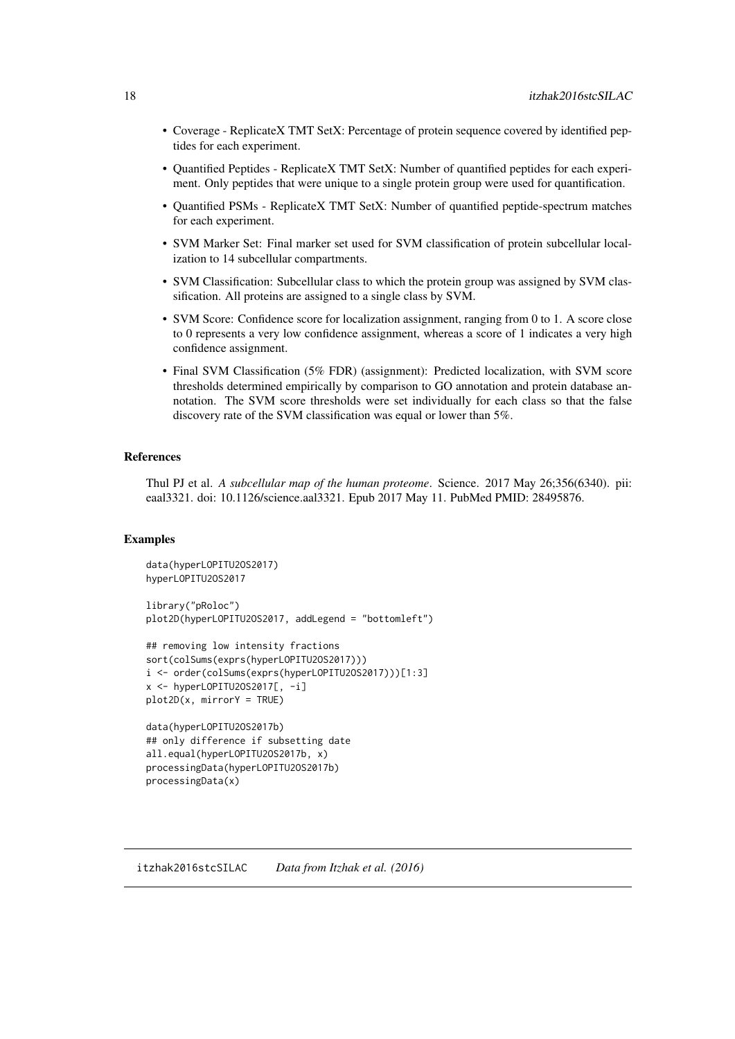- <span id="page-17-0"></span>• Coverage - ReplicateX TMT SetX: Percentage of protein sequence covered by identified peptides for each experiment.
- Quantified Peptides ReplicateX TMT SetX: Number of quantified peptides for each experiment. Only peptides that were unique to a single protein group were used for quantification.
- Quantified PSMs ReplicateX TMT SetX: Number of quantified peptide-spectrum matches for each experiment.
- SVM Marker Set: Final marker set used for SVM classification of protein subcellular localization to 14 subcellular compartments.
- SVM Classification: Subcellular class to which the protein group was assigned by SVM classification. All proteins are assigned to a single class by SVM.
- SVM Score: Confidence score for localization assignment, ranging from 0 to 1. A score close to 0 represents a very low confidence assignment, whereas a score of 1 indicates a very high confidence assignment.
- Final SVM Classification (5% FDR) (assignment): Predicted localization, with SVM score thresholds determined empirically by comparison to GO annotation and protein database annotation. The SVM score thresholds were set individually for each class so that the false discovery rate of the SVM classification was equal or lower than 5%.

### References

Thul PJ et al. *A subcellular map of the human proteome*. Science. 2017 May 26;356(6340). pii: eaal3321. doi: 10.1126/science.aal3321. Epub 2017 May 11. PubMed PMID: 28495876.

### Examples

```
data(hyperLOPITU2OS2017)
hyperLOPITU2OS2017
library("pRoloc")
plot2D(hyperLOPITU2OS2017, addLegend = "bottomleft")
## removing low intensity fractions
sort(colSums(exprs(hyperLOPITU2OS2017)))
```

```
i <- order(colSums(exprs(hyperLOPITU2OS2017)))[1:3]
x <- hyperLOPITU2OS2017[, -i]
plot2D(x, mirrorY = TRUE)
```

```
data(hyperLOPITU2OS2017b)
## only difference if subsetting date
all.equal(hyperLOPITU2OS2017b, x)
processingData(hyperLOPITU2OS2017b)
processingData(x)
```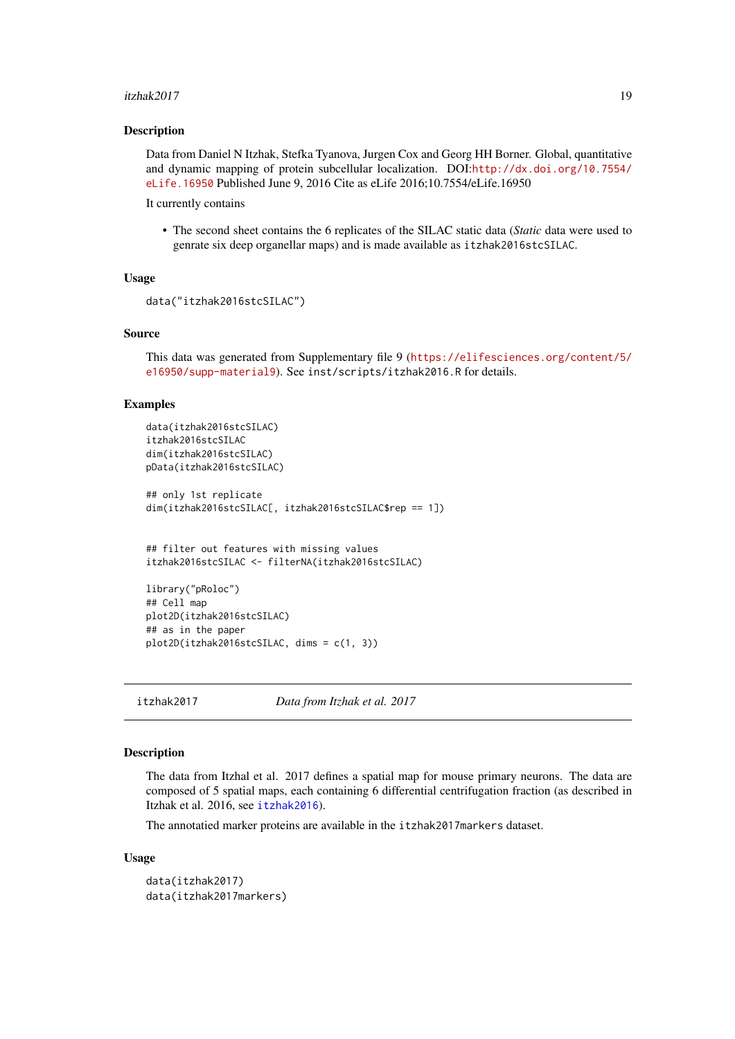#### <span id="page-18-0"></span>itzhak2017 19

#### Description

Data from Daniel N Itzhak, Stefka Tyanova, Jurgen Cox and Georg HH Borner. Global, quantitative and dynamic mapping of protein subcellular localization. DOI:[http://dx.doi.org/10.7554/](http://dx.doi.org/10.7554/eLife.16950) [eLife.16950](http://dx.doi.org/10.7554/eLife.16950) Published June 9, 2016 Cite as eLife 2016;10.7554/eLife.16950

It currently contains

• The second sheet contains the 6 replicates of the SILAC static data (*Static* data were used to genrate six deep organellar maps) and is made available as itzhak2016stcSILAC.

### Usage

```
data("itzhak2016stcSILAC")
```
### Source

This data was generated from Supplementary file 9 ([https://elifesciences.org/content/5/](https://elifesciences.org/content/5/e16950/supp-material9) [e16950/supp-material9](https://elifesciences.org/content/5/e16950/supp-material9)). See inst/scripts/itzhak2016.R for details.

### Examples

```
data(itzhak2016stcSILAC)
itzhak2016stcSILAC
dim(itzhak2016stcSILAC)
pData(itzhak2016stcSILAC)
## only 1st replicate
dim(itzhak2016stcSILAC[, itzhak2016stcSILAC$rep == 1])
## filter out features with missing values
itzhak2016stcSILAC <- filterNA(itzhak2016stcSILAC)
library("pRoloc")
## Cell map
plot2D(itzhak2016stcSILAC)
## as in the paper
plot2D(itzhak2016stcSILAC, dims = c(1, 3))
```
itzhak2017 *Data from Itzhak et al. 2017*

### Description

The data from Itzhal et al. 2017 defines a spatial map for mouse primary neurons. The data are composed of 5 spatial maps, each containing 6 differential centrifugation fraction (as described in Itzhak et al. 2016, see [itzhak2016](#page-17-1)).

The annotatied marker proteins are available in the itzhak2017markers dataset.

```
data(itzhak2017)
data(itzhak2017markers)
```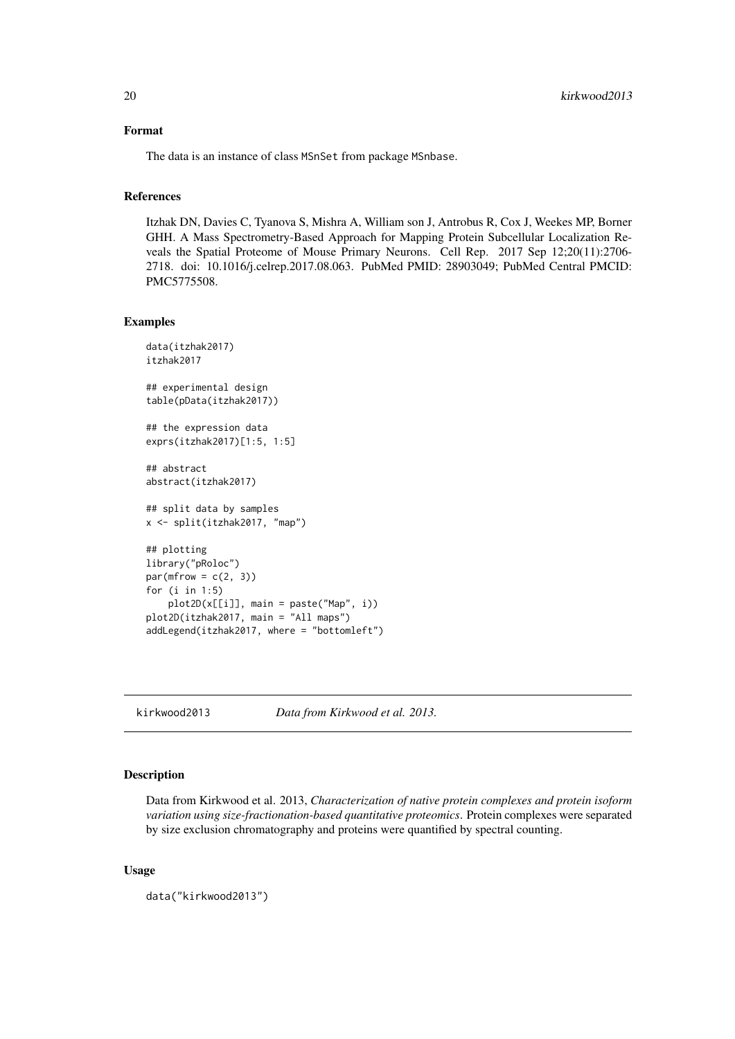### <span id="page-19-0"></span>Format

The data is an instance of class MSnSet from package MSnbase.

#### References

Itzhak DN, Davies C, Tyanova S, Mishra A, William son J, Antrobus R, Cox J, Weekes MP, Borner GHH. A Mass Spectrometry-Based Approach for Mapping Protein Subcellular Localization Reveals the Spatial Proteome of Mouse Primary Neurons. Cell Rep. 2017 Sep 12;20(11):2706- 2718. doi: 10.1016/j.celrep.2017.08.063. PubMed PMID: 28903049; PubMed Central PMCID: PMC5775508.

### Examples

```
data(itzhak2017)
itzhak2017
## experimental design
table(pData(itzhak2017))
## the expression data
exprs(itzhak2017)[1:5, 1:5]
## abstract
abstract(itzhak2017)
## split data by samples
x <- split(itzhak2017, "map")
## plotting
library("pRoloc")
par(mfrow = c(2, 3))for (i in 1:5)
    plot2D(x[[i]], main = paste("Map", i))
plot2D(itzhak2017, main = "All maps")
addLegend(itzhak2017, where = "bottomleft")
```
kirkwood2013 *Data from Kirkwood et al. 2013.*

### Description

Data from Kirkwood et al. 2013, *Characterization of native protein complexes and protein isoform variation using size-fractionation-based quantitative proteomics*. Protein complexes were separated by size exclusion chromatography and proteins were quantified by spectral counting.

```
data("kirkwood2013")
```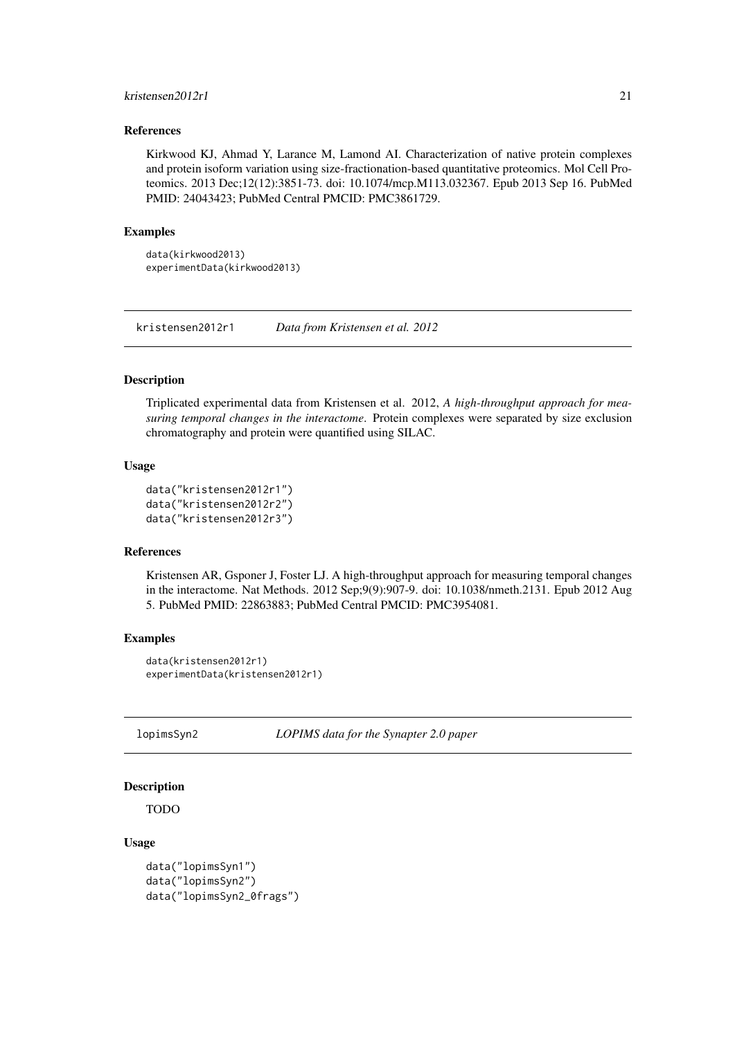#### <span id="page-20-0"></span>kristensen2012r1 21

### References

Kirkwood KJ, Ahmad Y, Larance M, Lamond AI. Characterization of native protein complexes and protein isoform variation using size-fractionation-based quantitative proteomics. Mol Cell Proteomics. 2013 Dec;12(12):3851-73. doi: 10.1074/mcp.M113.032367. Epub 2013 Sep 16. PubMed PMID: 24043423; PubMed Central PMCID: PMC3861729.

### Examples

```
data(kirkwood2013)
experimentData(kirkwood2013)
```
kristensen2012r1 *Data from Kristensen et al. 2012*

### Description

Triplicated experimental data from Kristensen et al. 2012, *A high-throughput approach for measuring temporal changes in the interactome*. Protein complexes were separated by size exclusion chromatography and protein were quantified using SILAC.

### Usage

```
data("kristensen2012r1")
data("kristensen2012r2")
data("kristensen2012r3")
```
### References

Kristensen AR, Gsponer J, Foster LJ. A high-throughput approach for measuring temporal changes in the interactome. Nat Methods. 2012 Sep;9(9):907-9. doi: 10.1038/nmeth.2131. Epub 2012 Aug 5. PubMed PMID: 22863883; PubMed Central PMCID: PMC3954081.

#### Examples

```
data(kristensen2012r1)
experimentData(kristensen2012r1)
```
lopimsSyn2 *LOPIMS data for the Synapter 2.0 paper*

#### Description

TODO

```
data("lopimsSyn1")
data("lopimsSyn2")
data("lopimsSyn2_0frags")
```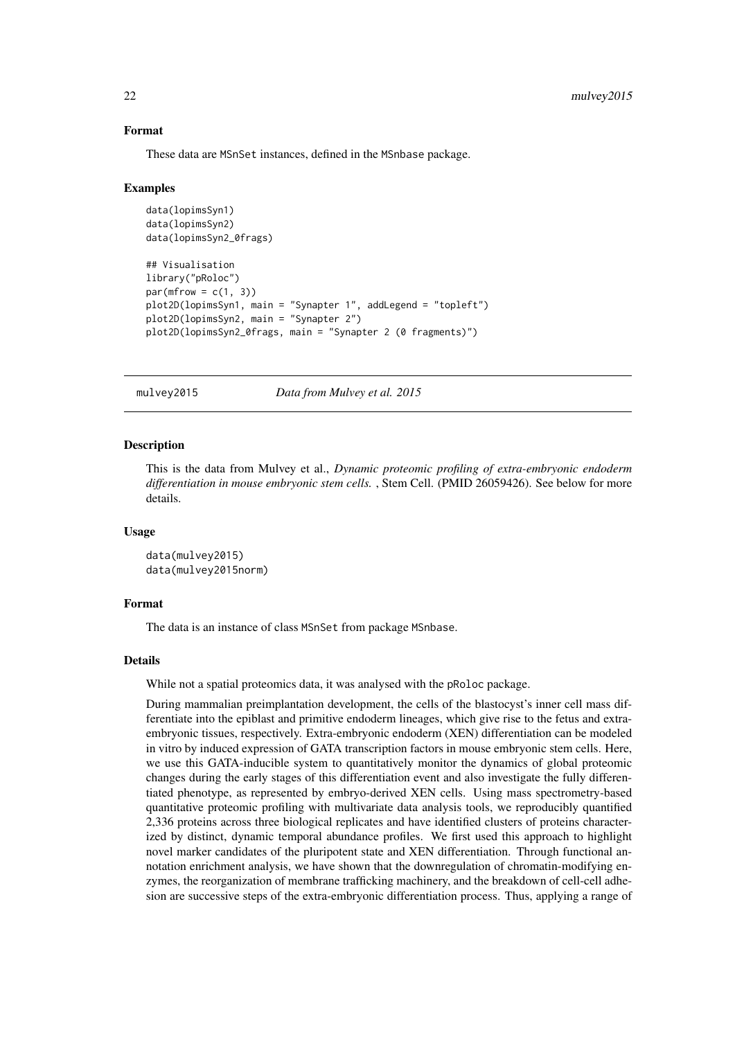### Format

These data are MSnSet instances, defined in the MSnbase package.

#### Examples

```
data(lopimsSyn1)
data(lopimsSyn2)
data(lopimsSyn2_0frags)
## Visualisation
library("pRoloc")
par(mfrow = c(1, 3))plot2D(lopimsSyn1, main = "Synapter 1", addLegend = "topleft")
plot2D(lopimsSyn2, main = "Synapter 2")
plot2D(lopimsSyn2_0frags, main = "Synapter 2 (0 fragments)")
```
mulvey2015 *Data from Mulvey et al. 2015*

#### **Description**

This is the data from Mulvey et al., *Dynamic proteomic profiling of extra-embryonic endoderm differentiation in mouse embryonic stem cells.* , Stem Cell. (PMID 26059426). See below for more details.

### Usage

```
data(mulvey2015)
data(mulvey2015norm)
```
### Format

The data is an instance of class MSnSet from package MSnbase.

#### Details

While not a spatial proteomics data, it was analysed with the pRoloc package.

During mammalian preimplantation development, the cells of the blastocyst's inner cell mass differentiate into the epiblast and primitive endoderm lineages, which give rise to the fetus and extraembryonic tissues, respectively. Extra-embryonic endoderm (XEN) differentiation can be modeled in vitro by induced expression of GATA transcription factors in mouse embryonic stem cells. Here, we use this GATA-inducible system to quantitatively monitor the dynamics of global proteomic changes during the early stages of this differentiation event and also investigate the fully differentiated phenotype, as represented by embryo-derived XEN cells. Using mass spectrometry-based quantitative proteomic profiling with multivariate data analysis tools, we reproducibly quantified 2,336 proteins across three biological replicates and have identified clusters of proteins characterized by distinct, dynamic temporal abundance profiles. We first used this approach to highlight novel marker candidates of the pluripotent state and XEN differentiation. Through functional annotation enrichment analysis, we have shown that the downregulation of chromatin-modifying enzymes, the reorganization of membrane trafficking machinery, and the breakdown of cell-cell adhesion are successive steps of the extra-embryonic differentiation process. Thus, applying a range of

<span id="page-21-0"></span>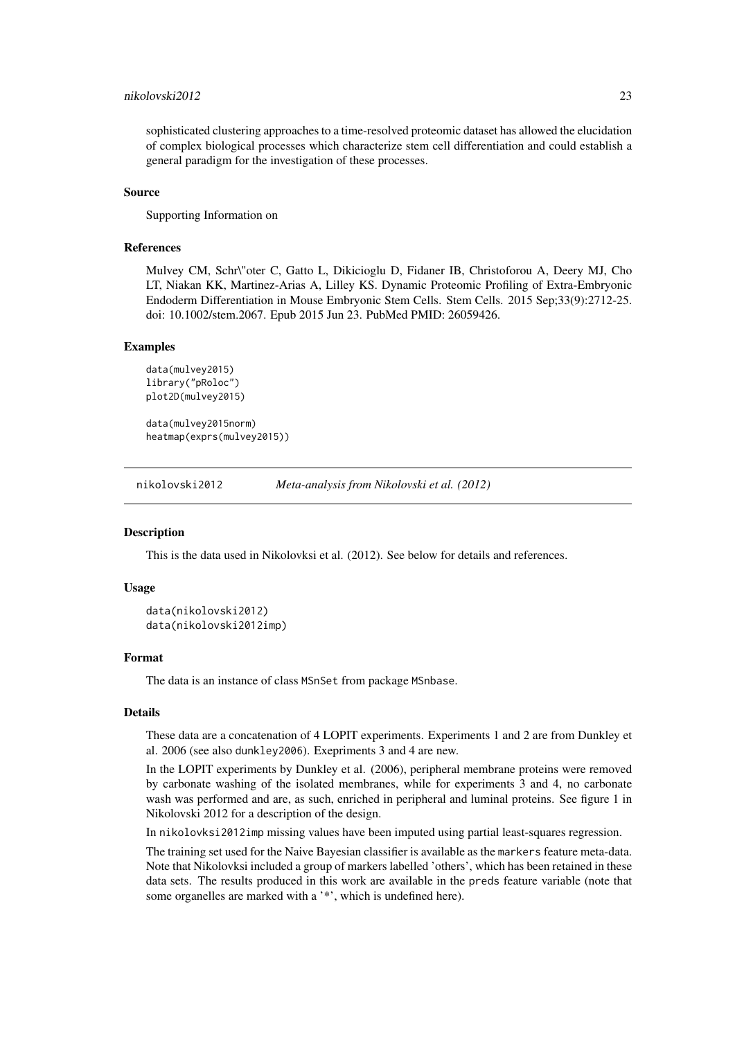### <span id="page-22-0"></span>nikolovski2012 23

sophisticated clustering approaches to a time-resolved proteomic dataset has allowed the elucidation of complex biological processes which characterize stem cell differentiation and could establish a general paradigm for the investigation of these processes.

### Source

Supporting Information on

### References

Mulvey CM, Schr\"oter C, Gatto L, Dikicioglu D, Fidaner IB, Christoforou A, Deery MJ, Cho LT, Niakan KK, Martinez-Arias A, Lilley KS. Dynamic Proteomic Profiling of Extra-Embryonic Endoderm Differentiation in Mouse Embryonic Stem Cells. Stem Cells. 2015 Sep;33(9):2712-25. doi: 10.1002/stem.2067. Epub 2015 Jun 23. PubMed PMID: 26059426.

### Examples

```
data(mulvey2015)
library("pRoloc")
plot2D(mulvey2015)
```
data(mulvey2015norm) heatmap(exprs(mulvey2015))

nikolovski2012 *Meta-analysis from Nikolovski et al. (2012)*

#### Description

This is the data used in Nikolovksi et al. (2012). See below for details and references.

### Usage

```
data(nikolovski2012)
data(nikolovski2012imp)
```
### Format

The data is an instance of class MSnSet from package MSnbase.

### Details

These data are a concatenation of 4 LOPIT experiments. Experiments 1 and 2 are from Dunkley et al. 2006 (see also dunkley2006). Exepriments 3 and 4 are new.

In the LOPIT experiments by Dunkley et al. (2006), peripheral membrane proteins were removed by carbonate washing of the isolated membranes, while for experiments 3 and 4, no carbonate wash was performed and are, as such, enriched in peripheral and luminal proteins. See figure 1 in Nikolovski 2012 for a description of the design.

In nikolovksi2012imp missing values have been imputed using partial least-squares regression.

The training set used for the Naive Bayesian classifier is available as the markers feature meta-data. Note that Nikolovksi included a group of markers labelled 'others', which has been retained in these data sets. The results produced in this work are available in the preds feature variable (note that some organelles are marked with a '\*', which is undefined here).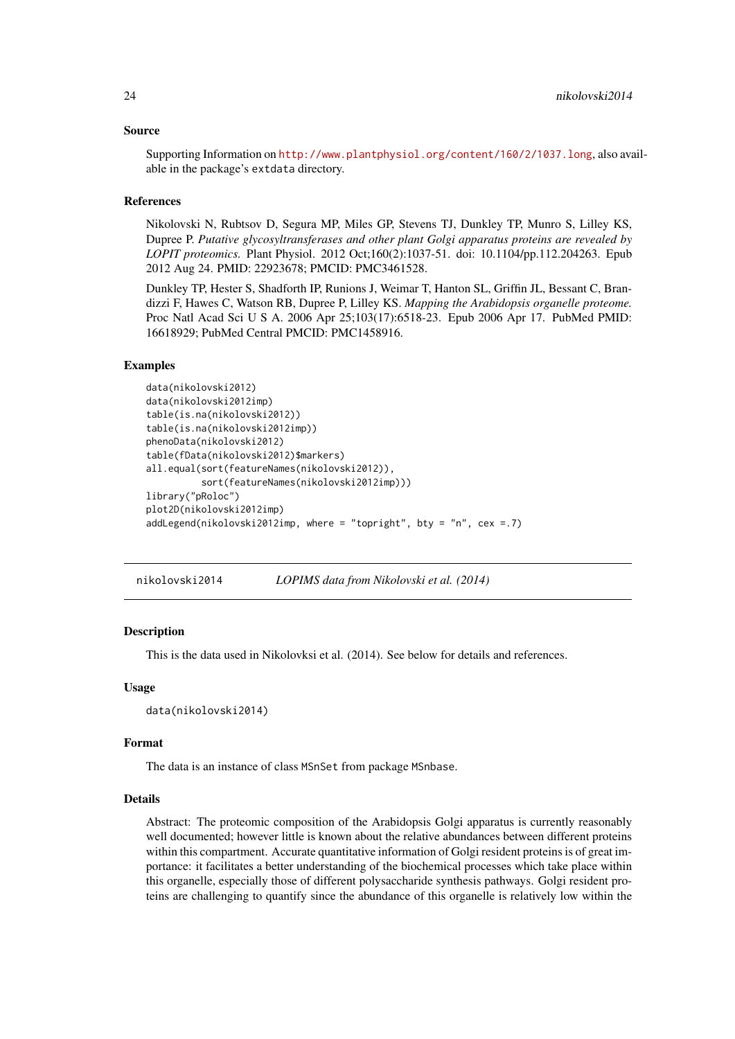### <span id="page-23-0"></span>Source

Supporting Information on <http://www.plantphysiol.org/content/160/2/1037.long>, also available in the package's extdata directory.

### References

Nikolovski N, Rubtsov D, Segura MP, Miles GP, Stevens TJ, Dunkley TP, Munro S, Lilley KS, Dupree P. *Putative glycosyltransferases and other plant Golgi apparatus proteins are revealed by LOPIT proteomics.* Plant Physiol. 2012 Oct;160(2):1037-51. doi: 10.1104/pp.112.204263. Epub 2012 Aug 24. PMID: 22923678; PMCID: PMC3461528.

Dunkley TP, Hester S, Shadforth IP, Runions J, Weimar T, Hanton SL, Griffin JL, Bessant C, Brandizzi F, Hawes C, Watson RB, Dupree P, Lilley KS. *Mapping the Arabidopsis organelle proteome.* Proc Natl Acad Sci U S A. 2006 Apr 25;103(17):6518-23. Epub 2006 Apr 17. PubMed PMID: 16618929; PubMed Central PMCID: PMC1458916.

### Examples

```
data(nikolovski2012)
data(nikolovski2012imp)
table(is.na(nikolovski2012))
table(is.na(nikolovski2012imp))
phenoData(nikolovski2012)
table(fData(nikolovski2012)$markers)
all.equal(sort(featureNames(nikolovski2012)),
          sort(featureNames(nikolovski2012imp)))
library("pRoloc")
plot2D(nikolovski2012imp)
addLegend(nikolovski2012imp, where = "topright", bty = "n", cex =.7)
```
nikolovski2014 *LOPIMS data from Nikolovski et al. (2014)*

### Description

This is the data used in Nikolovksi et al. (2014). See below for details and references.

### Usage

```
data(nikolovski2014)
```
#### Format

The data is an instance of class MSnSet from package MSnbase.

#### Details

Abstract: The proteomic composition of the Arabidopsis Golgi apparatus is currently reasonably well documented; however little is known about the relative abundances between different proteins within this compartment. Accurate quantitative information of Golgi resident proteins is of great importance: it facilitates a better understanding of the biochemical processes which take place within this organelle, especially those of different polysaccharide synthesis pathways. Golgi resident proteins are challenging to quantify since the abundance of this organelle is relatively low within the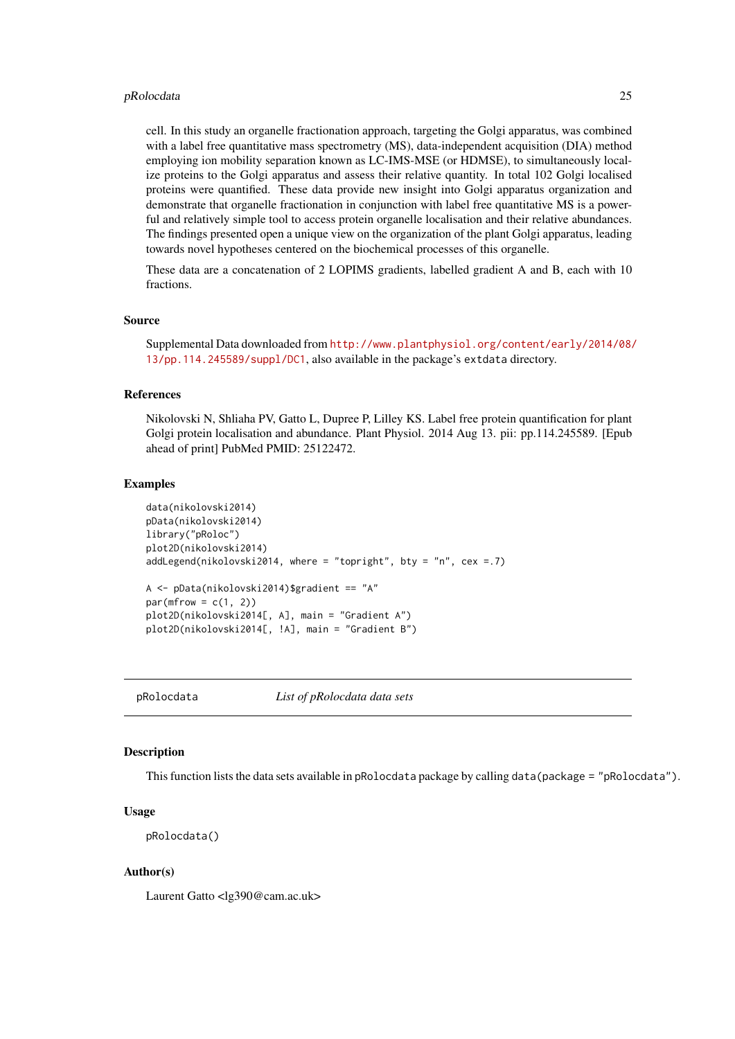#### <span id="page-24-0"></span>pRolocdata 25

cell. In this study an organelle fractionation approach, targeting the Golgi apparatus, was combined with a label free quantitative mass spectrometry (MS), data-independent acquisition (DIA) method employing ion mobility separation known as LC-IMS-MSE (or HDMSE), to simultaneously localize proteins to the Golgi apparatus and assess their relative quantity. In total 102 Golgi localised proteins were quantified. These data provide new insight into Golgi apparatus organization and demonstrate that organelle fractionation in conjunction with label free quantitative MS is a powerful and relatively simple tool to access protein organelle localisation and their relative abundances. The findings presented open a unique view on the organization of the plant Golgi apparatus, leading towards novel hypotheses centered on the biochemical processes of this organelle.

These data are a concatenation of 2 LOPIMS gradients, labelled gradient A and B, each with 10 fractions.

### Source

Supplemental Data downloaded from [http://www.plantphysiol.org/content/early/2014/08/](http://www.plantphysiol.org/content/early/2014/08/13/pp.114.245589/suppl/DC1) [13/pp.114.245589/suppl/DC1](http://www.plantphysiol.org/content/early/2014/08/13/pp.114.245589/suppl/DC1), also available in the package's extdata directory.

### References

Nikolovski N, Shliaha PV, Gatto L, Dupree P, Lilley KS. Label free protein quantification for plant Golgi protein localisation and abundance. Plant Physiol. 2014 Aug 13. pii: pp.114.245589. [Epub ahead of print] PubMed PMID: 25122472.

### Examples

```
data(nikolovski2014)
pData(nikolovski2014)
library("pRoloc")
plot2D(nikolovski2014)
addLegend(nikolovski2014, where = "topright", bty = "n", cex = .7)
A <- pData(nikolovski2014)$gradient == "A"
par(mfrow = c(1, 2))plot2D(nikolovski2014[, A], main = "Gradient A")
plot2D(nikolovski2014[, !A], main = "Gradient B")
```
pRolocdata *List of pRolocdata data sets*

#### **Description**

This function lists the data sets available in pRolocdata package by calling data(package = "pRolocdata").

### Usage

pRolocdata()

### Author(s)

Laurent Gatto <lg390@cam.ac.uk>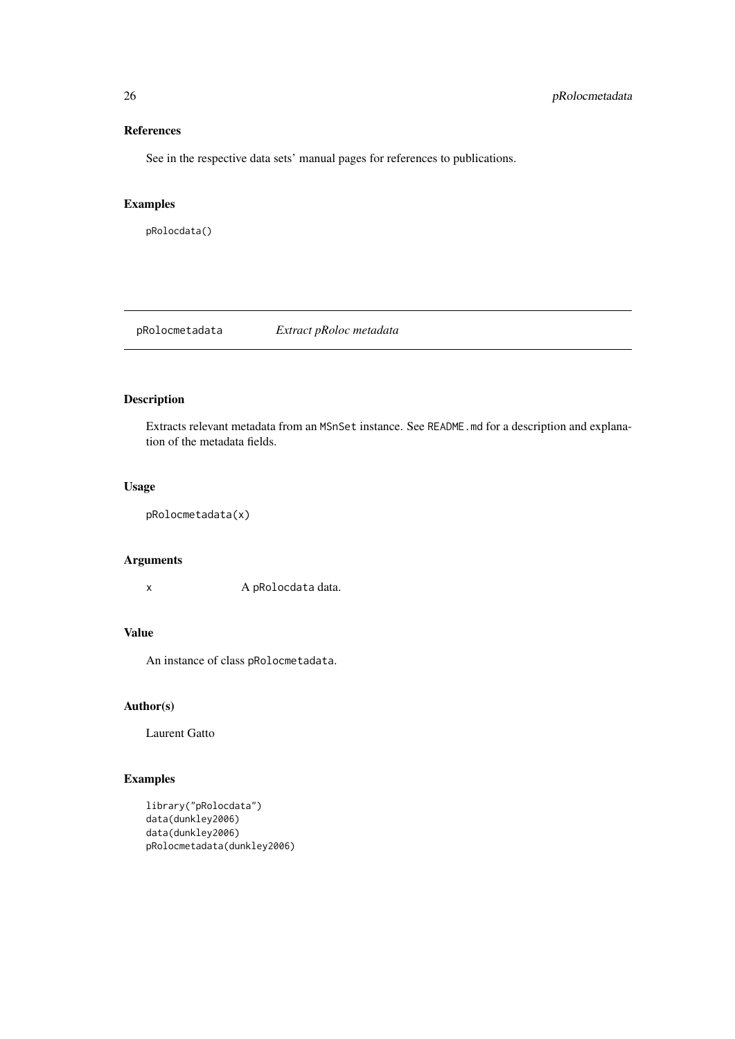### References

See in the respective data sets' manual pages for references to publications.

### Examples

pRolocdata()

pRolocmetadata *Extract pRoloc metadata*

### Description

Extracts relevant metadata from an MSnSet instance. See README.md for a description and explanation of the metadata fields.

### Usage

pRolocmetadata(x)

### Arguments

x A pRolocdata data.

### Value

An instance of class pRolocmetadata.

### Author(s)

Laurent Gatto

### Examples

```
library("pRolocdata")
data(dunkley2006)
data(dunkley2006)
pRolocmetadata(dunkley2006)
```
<span id="page-25-0"></span>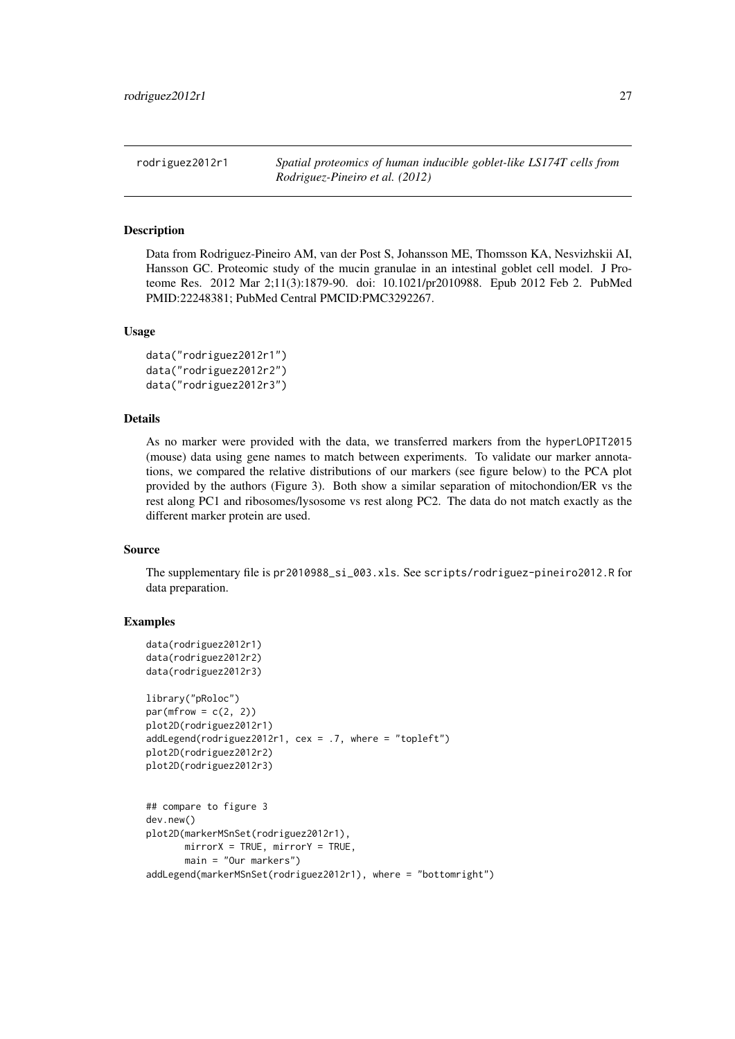<span id="page-26-0"></span>rodriguez2012r1 *Spatial proteomics of human inducible goblet-like LS174T cells from Rodriguez-Pineiro et al. (2012)*

### Description

Data from Rodriguez-Pineiro AM, van der Post S, Johansson ME, Thomsson KA, Nesvizhskii AI, Hansson GC. Proteomic study of the mucin granulae in an intestinal goblet cell model. J Proteome Res. 2012 Mar 2;11(3):1879-90. doi: 10.1021/pr2010988. Epub 2012 Feb 2. PubMed PMID:22248381; PubMed Central PMCID:PMC3292267.

### Usage

```
data("rodriguez2012r1")
data("rodriguez2012r2")
data("rodriguez2012r3")
```
### Details

As no marker were provided with the data, we transferred markers from the hyperLOPIT2015 (mouse) data using gene names to match between experiments. To validate our marker annotations, we compared the relative distributions of our markers (see figure below) to the PCA plot provided by the authors (Figure 3). Both show a similar separation of mitochondion/ER vs the rest along PC1 and ribosomes/lysosome vs rest along PC2. The data do not match exactly as the different marker protein are used.

### Source

The supplementary file is pr2010988\_si\_003.xls. See scripts/rodriguez-pineiro2012.R for data preparation.

### Examples

```
data(rodriguez2012r1)
data(rodriguez2012r2)
data(rodriguez2012r3)
library("pRoloc")
par(mfrow = c(2, 2))plot2D(rodriguez2012r1)
addLegend(rodriguez2012r1, cex = .7, where = "topleft")
plot2D(rodriguez2012r2)
plot2D(rodriguez2012r3)
## compare to figure 3
dev.new()
plot2D(markerMSnSet(rodriguez2012r1),
       mirrorX = TRUE, mirrorY = TRUE,
       main = "Our markers")
```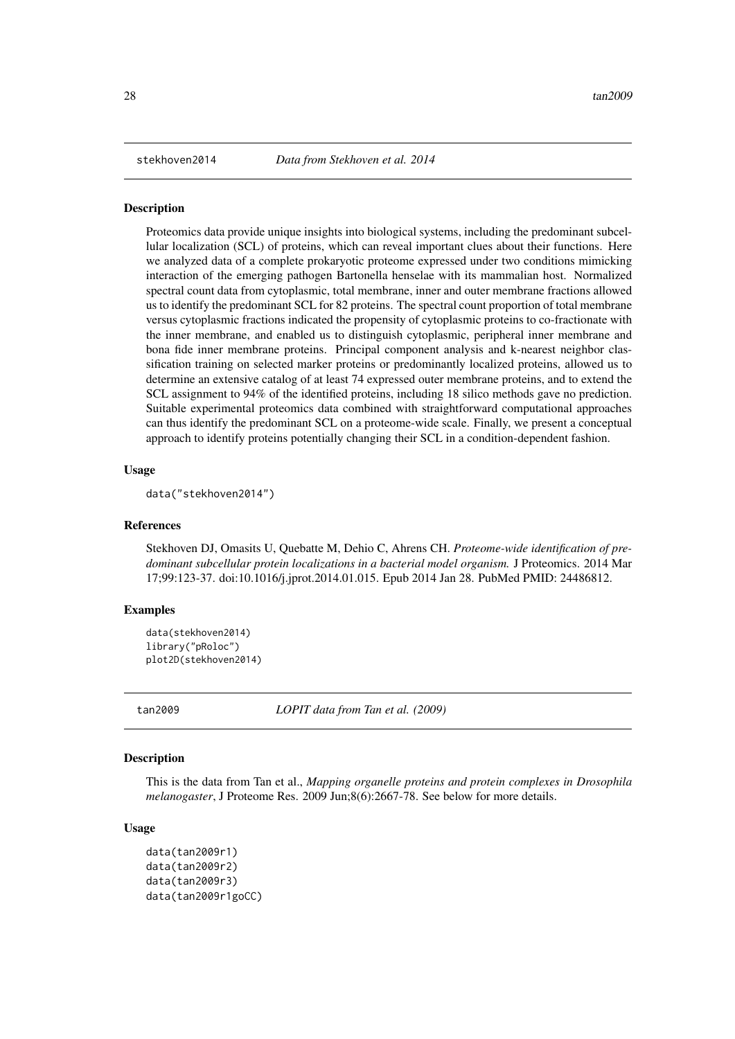<span id="page-27-0"></span>

### Description

Proteomics data provide unique insights into biological systems, including the predominant subcellular localization (SCL) of proteins, which can reveal important clues about their functions. Here we analyzed data of a complete prokaryotic proteome expressed under two conditions mimicking interaction of the emerging pathogen Bartonella henselae with its mammalian host. Normalized spectral count data from cytoplasmic, total membrane, inner and outer membrane fractions allowed us to identify the predominant SCL for 82 proteins. The spectral count proportion of total membrane versus cytoplasmic fractions indicated the propensity of cytoplasmic proteins to co-fractionate with the inner membrane, and enabled us to distinguish cytoplasmic, peripheral inner membrane and bona fide inner membrane proteins. Principal component analysis and k-nearest neighbor classification training on selected marker proteins or predominantly localized proteins, allowed us to determine an extensive catalog of at least 74 expressed outer membrane proteins, and to extend the SCL assignment to 94% of the identified proteins, including 18 silico methods gave no prediction. Suitable experimental proteomics data combined with straightforward computational approaches can thus identify the predominant SCL on a proteome-wide scale. Finally, we present a conceptual approach to identify proteins potentially changing their SCL in a condition-dependent fashion.

#### Usage

data("stekhoven2014")

### References

Stekhoven DJ, Omasits U, Quebatte M, Dehio C, Ahrens CH. *Proteome-wide identification of predominant subcellular protein localizations in a bacterial model organism.* J Proteomics. 2014 Mar 17;99:123-37. doi:10.1016/j.jprot.2014.01.015. Epub 2014 Jan 28. PubMed PMID: 24486812.

### Examples

```
data(stekhoven2014)
library("pRoloc")
plot2D(stekhoven2014)
```
tan2009 *LOPIT data from Tan et al. (2009)*

### **Description**

This is the data from Tan et al., *Mapping organelle proteins and protein complexes in Drosophila melanogaster*, J Proteome Res. 2009 Jun;8(6):2667-78. See below for more details.

```
data(tan2009r1)
data(tan2009r2)
data(tan2009r3)
data(tan2009r1goCC)
```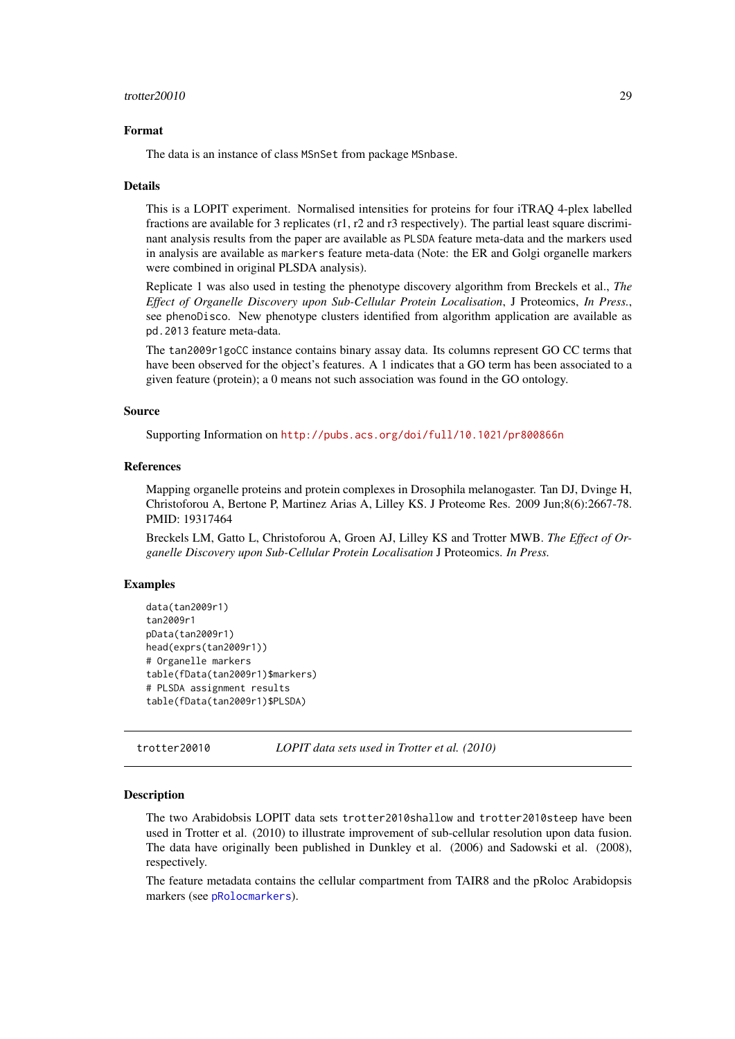#### <span id="page-28-0"></span>trotter20010 29

#### Format

The data is an instance of class MSnSet from package MSnbase.

#### Details

This is a LOPIT experiment. Normalised intensities for proteins for four iTRAQ 4-plex labelled fractions are available for 3 replicates (r1, r2 and r3 respectively). The partial least square discriminant analysis results from the paper are available as PLSDA feature meta-data and the markers used in analysis are available as markers feature meta-data (Note: the ER and Golgi organelle markers were combined in original PLSDA analysis).

Replicate 1 was also used in testing the phenotype discovery algorithm from Breckels et al., *The Effect of Organelle Discovery upon Sub-Cellular Protein Localisation*, J Proteomics, *In Press.*, see phenoDisco. New phenotype clusters identified from algorithm application are available as pd.2013 feature meta-data.

The tan2009r1goCC instance contains binary assay data. Its columns represent GO CC terms that have been observed for the object's features. A 1 indicates that a GO term has been associated to a given feature (protein); a 0 means not such association was found in the GO ontology.

### Source

Supporting Information on <http://pubs.acs.org/doi/full/10.1021/pr800866n>

### References

Mapping organelle proteins and protein complexes in Drosophila melanogaster. Tan DJ, Dvinge H, Christoforou A, Bertone P, Martinez Arias A, Lilley KS. J Proteome Res. 2009 Jun;8(6):2667-78. PMID: 19317464

Breckels LM, Gatto L, Christoforou A, Groen AJ, Lilley KS and Trotter MWB. *The Effect of Organelle Discovery upon Sub-Cellular Protein Localisation* J Proteomics. *In Press.*

#### Examples

```
data(tan2009r1)
tan2009r1
pData(tan2009r1)
head(exprs(tan2009r1))
# Organelle markers
table(fData(tan2009r1)$markers)
# PLSDA assignment results
table(fData(tan2009r1)$PLSDA)
```
trotter20010 *LOPIT data sets used in Trotter et al. (2010)*

#### **Description**

The two Arabidobsis LOPIT data sets trotter2010shallow and trotter2010steep have been used in Trotter et al. (2010) to illustrate improvement of sub-cellular resolution upon data fusion. The data have originally been published in Dunkley et al. (2006) and Sadowski et al. (2008), respectively.

The feature metadata contains the cellular compartment from TAIR8 and the pRoloc Arabidopsis markers (see [pRolocmarkers](#page-0-0)).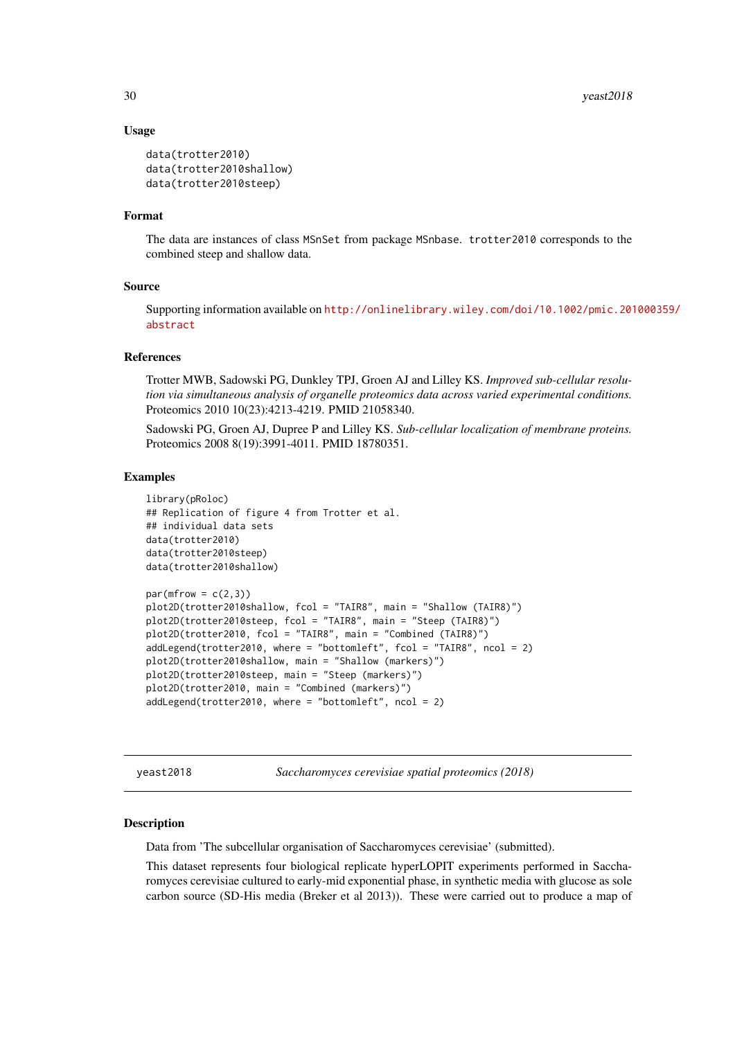### Usage

```
data(trotter2010)
data(trotter2010shallow)
data(trotter2010steep)
```
### Format

The data are instances of class MSnSet from package MSnbase. trotter2010 corresponds to the combined steep and shallow data.

#### Source

Supporting information available on [http://onlinelibrary.wiley.com/doi/10.1002/pmic.201](http://onlinelibrary.wiley.com/doi/10.1002/pmic.201000359/abstract)000359/ [abstract](http://onlinelibrary.wiley.com/doi/10.1002/pmic.201000359/abstract)

### References

Trotter MWB, Sadowski PG, Dunkley TPJ, Groen AJ and Lilley KS. *Improved sub-cellular resolution via simultaneous analysis of organelle proteomics data across varied experimental conditions.* Proteomics 2010 10(23):4213-4219. PMID 21058340.

Sadowski PG, Groen AJ, Dupree P and Lilley KS. *Sub-cellular localization of membrane proteins.* Proteomics 2008 8(19):3991-4011. PMID 18780351.

### Examples

```
library(pRoloc)
## Replication of figure 4 from Trotter et al.
## individual data sets
data(trotter2010)
data(trotter2010steep)
data(trotter2010shallow)
par(mfrow = c(2,3))plot2D(trotter2010shallow, fcol = "TAIR8", main = "Shallow (TAIR8)")
plot2D(trotter2010steep, fcol = "TAIR8", main = "Steep (TAIR8)")
plot2D(trotter2010, fcol = "TAIR8", main = "Combined (TAIR8)")
addLegend(trotter2010, where = "bottomleft", fcol = "TAIR8", ncol = 2)
plot2D(trotter2010shallow, main = "Shallow (markers)")
plot2D(trotter2010steep, main = "Steep (markers)")
plot2D(trotter2010, main = "Combined (markers)")
addLegend(trotter2010, where = "bottomleft", ncol = 2)
```
yeast2018 *Saccharomyces cerevisiae spatial proteomics (2018)*

### Description

Data from 'The subcellular organisation of Saccharomyces cerevisiae' (submitted).

This dataset represents four biological replicate hyperLOPIT experiments performed in Saccharomyces cerevisiae cultured to early-mid exponential phase, in synthetic media with glucose as sole carbon source (SD-His media (Breker et al 2013)). These were carried out to produce a map of

<span id="page-29-0"></span>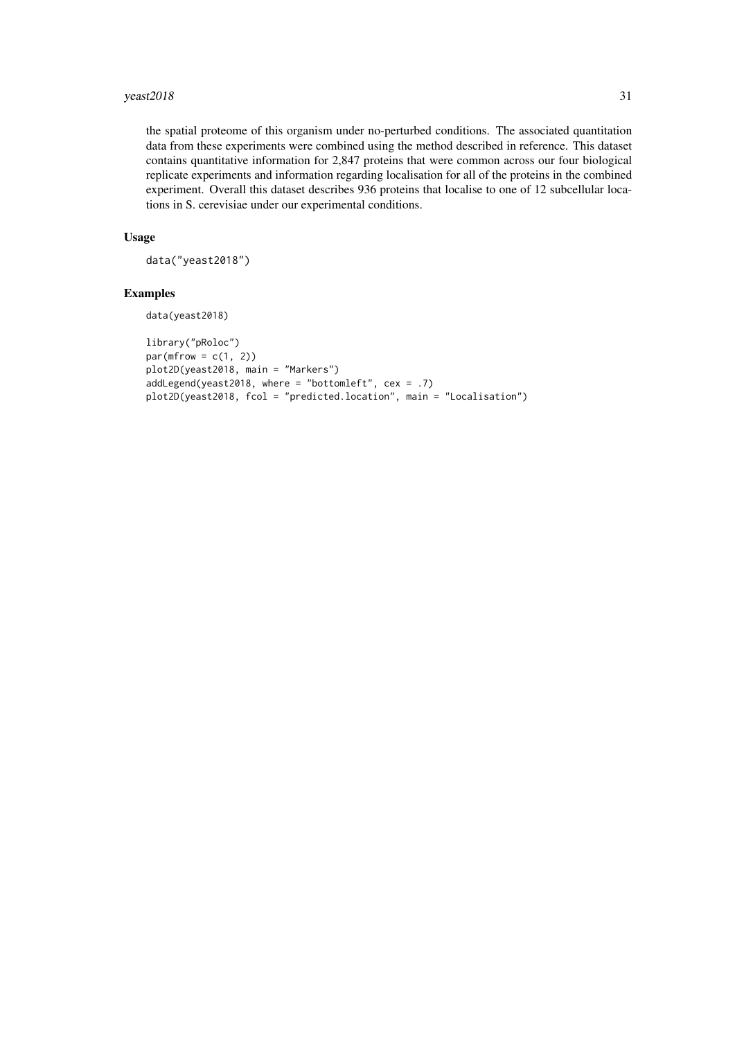#### $y$ east2018  $31$

the spatial proteome of this organism under no-perturbed conditions. The associated quantitation data from these experiments were combined using the method described in reference. This dataset contains quantitative information for 2,847 proteins that were common across our four biological replicate experiments and information regarding localisation for all of the proteins in the combined experiment. Overall this dataset describes 936 proteins that localise to one of 12 subcellular locations in S. cerevisiae under our experimental conditions.

### Usage

data("yeast2018")

### Examples

```
data(yeast2018)
```

```
library("pRoloc")
par(mfrow = c(1, 2))plot2D(yeast2018, main = "Markers")
addLegend(yeast2018, where = "bottomleft", cex = .7)
plot2D(yeast2018, fcol = "predicted.location", main = "Localisation")
```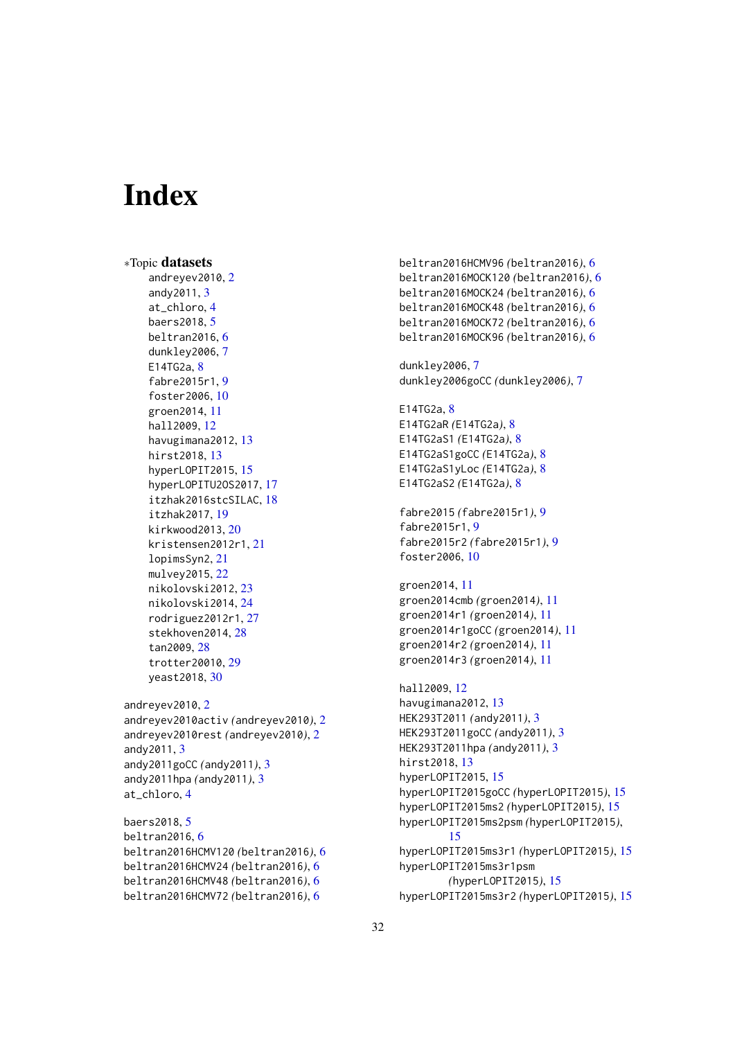# <span id="page-31-0"></span>Index

∗Topic datasets andreyev2010, [2](#page-1-0) andy2011, [3](#page-2-0) at\_chloro, [4](#page-3-0) baers2018, [5](#page-4-0) beltran2016, [6](#page-5-0) dunkley2006, [7](#page-6-0) E14TG2a, [8](#page-7-0) fabre2015r1, [9](#page-8-0) foster2006, [10](#page-9-0) groen2014, [11](#page-10-0) hall2009, [12](#page-11-0) havugimana2012, [13](#page-12-0) hirst2018, [13](#page-12-0) hyperLOPIT2015, [15](#page-14-0) hyperLOPITU2OS2017, [17](#page-16-0) itzhak2016stcSILAC, [18](#page-17-0) itzhak2017, [19](#page-18-0) kirkwood2013, [20](#page-19-0) kristensen2012r1, [21](#page-20-0) lopimsSyn2, [21](#page-20-0) mulvey2015, [22](#page-21-0) nikolovski2012, [23](#page-22-0) nikolovski2014, [24](#page-23-0) rodriguez2012r1, [27](#page-26-0) stekhoven2014, [28](#page-27-0) tan2009, [28](#page-27-0) trotter20010, [29](#page-28-0) yeast2018, [30](#page-29-0) andreyev2010, [2](#page-1-0)

andreyev2010activ *(*andreyev2010*)*, [2](#page-1-0) andreyev2010rest *(*andreyev2010*)*, [2](#page-1-0) andy2011, [3](#page-2-0) andy2011goCC *(*andy2011*)*, [3](#page-2-0) andy2011hpa *(*andy2011*)*, [3](#page-2-0) at\_chloro, [4](#page-3-0)

baers2018, [5](#page-4-0) beltran2016, [6](#page-5-0) beltran2016HCMV120 *(*beltran2016*)*, [6](#page-5-0) beltran2016HCMV24 *(*beltran2016*)*, [6](#page-5-0) beltran2016HCMV48 *(*beltran2016*)*, [6](#page-5-0) beltran2016HCMV72 *(*beltran2016*)*, [6](#page-5-0)

beltran2016HCMV96 *(*beltran2016*)*, [6](#page-5-0) beltran2016MOCK120 *(*beltran2016*)*, [6](#page-5-0) beltran2016MOCK24 *(*beltran2016*)*, [6](#page-5-0) beltran2016MOCK48 *(*beltran2016*)*, [6](#page-5-0) beltran2016MOCK72 *(*beltran2016*)*, [6](#page-5-0) beltran2016MOCK96 *(*beltran2016*)*, [6](#page-5-0) dunkley2006, [7](#page-6-0) dunkley2006goCC *(*dunkley2006*)*, [7](#page-6-0) E14TG2a, [8](#page-7-0) E14TG2aR *(*E14TG2a*)*, [8](#page-7-0) E14TG2aS1 *(*E14TG2a*)*, [8](#page-7-0) E14TG2aS1goCC *(*E14TG2a*)*, [8](#page-7-0) E14TG2aS1yLoc *(*E14TG2a*)*, [8](#page-7-0) E14TG2aS2 *(*E14TG2a*)*, [8](#page-7-0) fabre2015 *(*fabre2015r1*)*, [9](#page-8-0) fabre2015r1, [9](#page-8-0) fabre2015r2 *(*fabre2015r1*)*, [9](#page-8-0) foster2006, [10](#page-9-0) groen2014, [11](#page-10-0) groen2014cmb *(*groen2014*)*, [11](#page-10-0) groen2014r1 *(*groen2014*)*, [11](#page-10-0) groen2014r1goCC *(*groen2014*)*, [11](#page-10-0) groen2014r2 *(*groen2014*)*, [11](#page-10-0) groen2014r3 *(*groen2014*)*, [11](#page-10-0) hall2009, [12](#page-11-0) havugimana2012, [13](#page-12-0) HEK293T2011 *(*andy2011*)*, [3](#page-2-0) HEK293T2011goCC *(*andy2011*)*, [3](#page-2-0) HEK293T2011hpa *(*andy2011*)*, [3](#page-2-0) hirst2018, [13](#page-12-0) hyperLOPIT2015, [15](#page-14-0) hyperLOPIT2015goCC *(*hyperLOPIT2015*)*, [15](#page-14-0) hyperLOPIT2015ms2 *(*hyperLOPIT2015*)*, [15](#page-14-0) hyperLOPIT2015ms2psm *(*hyperLOPIT2015*)*, [15](#page-14-0) hyperLOPIT2015ms3r1 *(*hyperLOPIT2015*)*, [15](#page-14-0) hyperLOPIT2015ms3r1psm *(*hyperLOPIT2015*)*, [15](#page-14-0) hyperLOPIT2015ms3r2 *(*hyperLOPIT2015*)*, [15](#page-14-0)